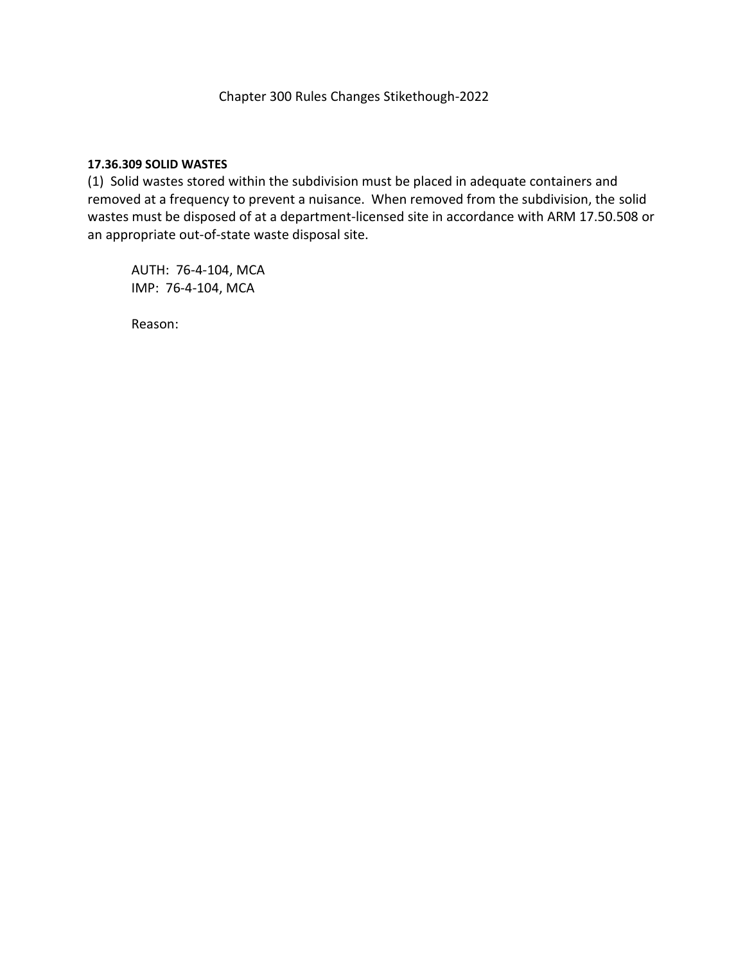# **17.36.309 SOLID WASTES**

(1) Solid wastes stored within the subdivision must be placed in adequate containers and removed at a frequency to prevent a nuisance. When removed from the subdivision, the solid wastes must be disposed of at a department-licensed site in accordance with ARM 17.50.508 or an appropriate out-of-state waste disposal site.

AUTH: 76-4-104, MCA IMP: 76-4-104, MCA

Reason: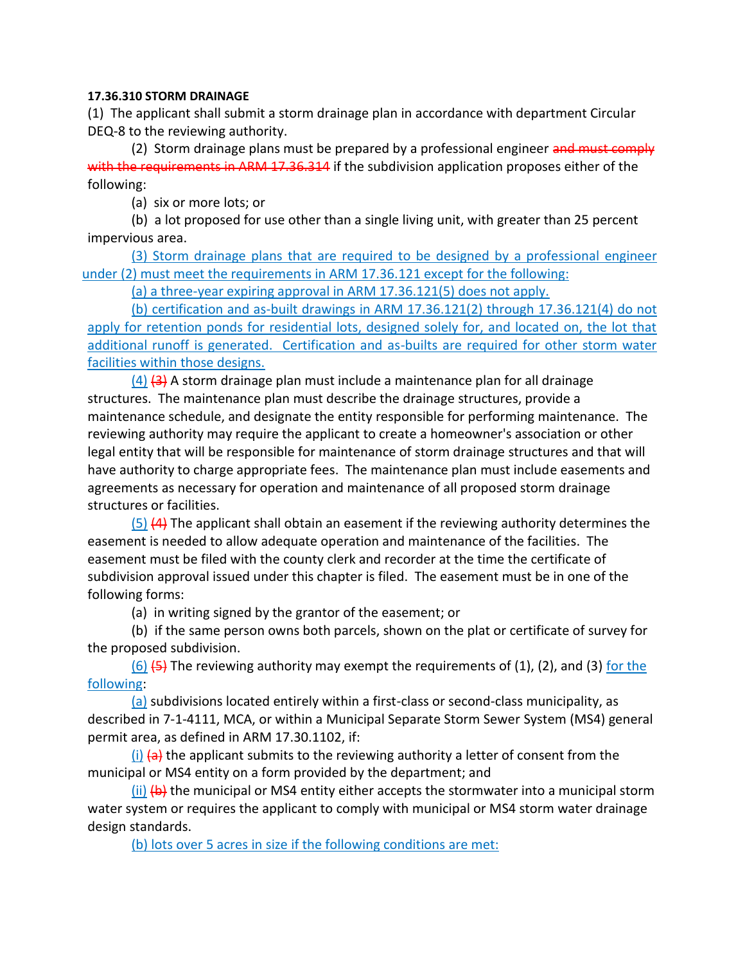# **17.36.310 STORM DRAINAGE**

(1) The applicant shall submit a storm drainage plan in accordance with department Circular DEQ-8 to the reviewing authority.

(2) Storm drainage plans must be prepared by a professional engineer and must comply with the requirements in ARM 17.36.314 if the subdivision application proposes either of the following:

(a) six or more lots; or

(b) a lot proposed for use other than a single living unit, with greater than 25 percent impervious area.

(3) Storm drainage plans that are required to be designed by a professional engineer under (2) must meet the requirements in ARM 17.36.121 except for the following:

(a) a three-year expiring approval in ARM 17.36.121(5) does not apply.

(b) certification and as-built drawings in ARM 17.36.121(2) through 17.36.121(4) do not apply for retention ponds for residential lots, designed solely for, and located on, the lot that additional runoff is generated. Certification and as-builts are required for other storm water facilities within those designs.

 $(4)$   $(3)$  A storm drainage plan must include a maintenance plan for all drainage structures. The maintenance plan must describe the drainage structures, provide a maintenance schedule, and designate the entity responsible for performing maintenance. The reviewing authority may require the applicant to create a homeowner's association or other legal entity that will be responsible for maintenance of storm drainage structures and that will have authority to charge appropriate fees. The maintenance plan must include easements and agreements as necessary for operation and maintenance of all proposed storm drainage structures or facilities.

 $(5)$  (4) The applicant shall obtain an easement if the reviewing authority determines the easement is needed to allow adequate operation and maintenance of the facilities. The easement must be filed with the county clerk and recorder at the time the certificate of subdivision approval issued under this chapter is filed. The easement must be in one of the following forms:

(a) in writing signed by the grantor of the easement; or

(b) if the same person owns both parcels, shown on the plat or certificate of survey for the proposed subdivision.

 $(6)$   $(5)$  The reviewing authority may exempt the requirements of (1), (2), and (3) for the following:

(a) subdivisions located entirely within a first-class or second-class municipality, as described in 7-1-4111, MCA, or within a Municipal Separate Storm Sewer System (MS4) general permit area, as defined in ARM 17.30.1102, if:

 $(i)$   $\leftrightarrow$  the applicant submits to the reviewing authority a letter of consent from the municipal or MS4 entity on a form provided by the department; and

 $(i)$   $(k)$  the municipal or MS4 entity either accepts the stormwater into a municipal storm water system or requires the applicant to comply with municipal or MS4 storm water drainage design standards.

(b) lots over 5 acres in size if the following conditions are met: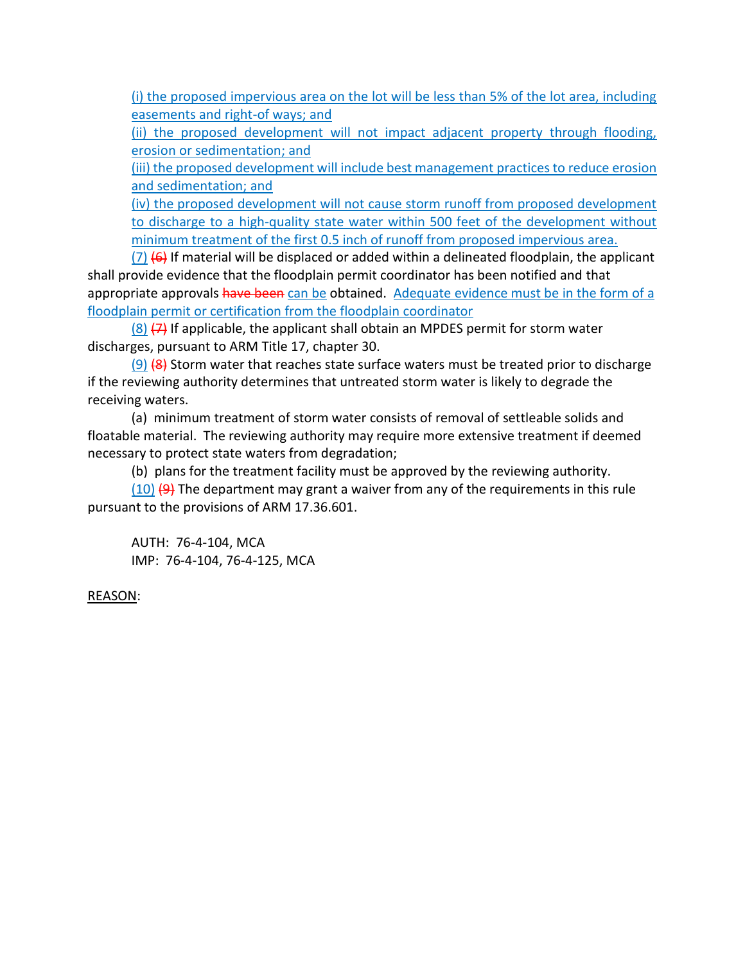(i) the proposed impervious area on the lot will be less than 5% of the lot area, including easements and right-of ways; and

(ii) the proposed development will not impact adjacent property through flooding, erosion or sedimentation; and

(iii) the proposed development will include best management practices to reduce erosion and sedimentation; and

(iv) the proposed development will not cause storm runoff from proposed development to discharge to a high-quality state water within 500 feet of the development without minimum treatment of the first 0.5 inch of runoff from proposed impervious area.

 $(7)$  (6) If material will be displaced or added within a delineated floodplain, the applicant shall provide evidence that the floodplain permit coordinator has been notified and that appropriate approvals have been can be obtained. Adequate evidence must be in the form of a floodplain permit or certification from the floodplain coordinator

 $(8)$   $(7)$  If applicable, the applicant shall obtain an MPDES permit for storm water discharges, pursuant to ARM Title 17, chapter 30.

 $(9)$  (8) Storm water that reaches state surface waters must be treated prior to discharge if the reviewing authority determines that untreated storm water is likely to degrade the receiving waters.

(a) minimum treatment of storm water consists of removal of settleable solids and floatable material. The reviewing authority may require more extensive treatment if deemed necessary to protect state waters from degradation;

(b) plans for the treatment facility must be approved by the reviewing authority.

 $(10)$   $(9)$  The department may grant a waiver from any of the requirements in this rule pursuant to the provisions of ARM 17.36.601.

AUTH: 76-4-104, MCA IMP: 76-4-104, 76-4-125, MCA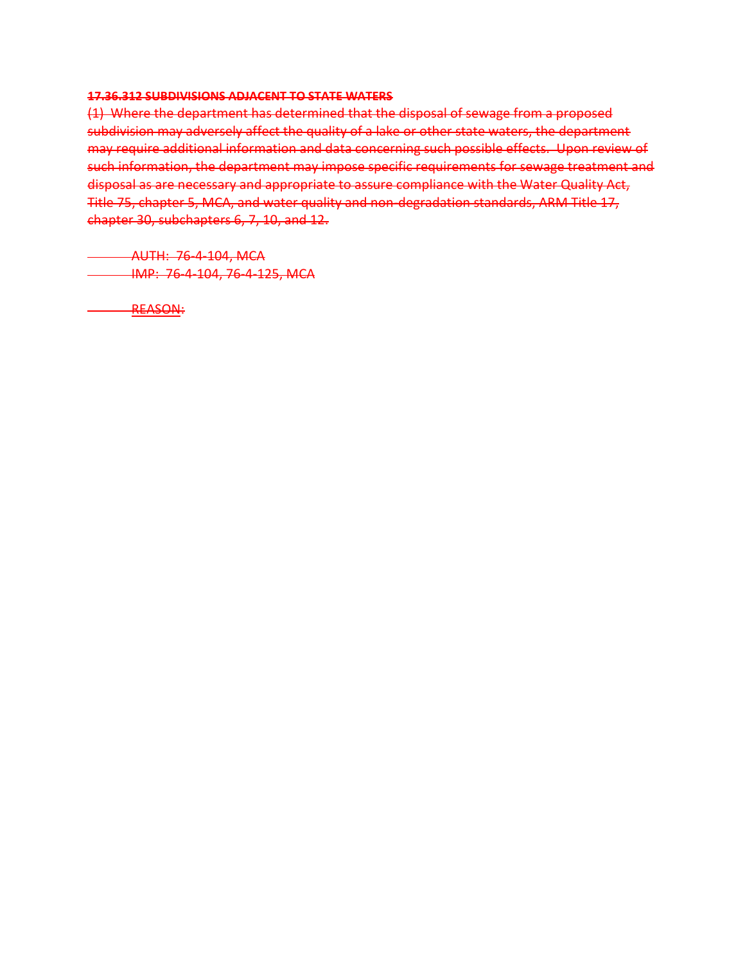## **17.36.312 SUBDIVISIONS ADJACENT TO STATE WATERS**

(1) Where the department has determined that the disposal of sewage from a proposed subdivision may adversely affect the quality of a lake or other state waters, the department may require additional information and data concerning such possible effects. Upon review of such information, the department may impose specific requirements for sewage treatment and disposal as are necessary and appropriate to assure compliance with the Water Quality Act, Title 75, chapter 5, MCA, and water quality and non-degradation standards, ARM Title 17, chapter 30, subchapters 6, 7, 10, and 12.

AUTH: 76-4-104, MCA IMP: 76-4-104, 76-4-125, MCA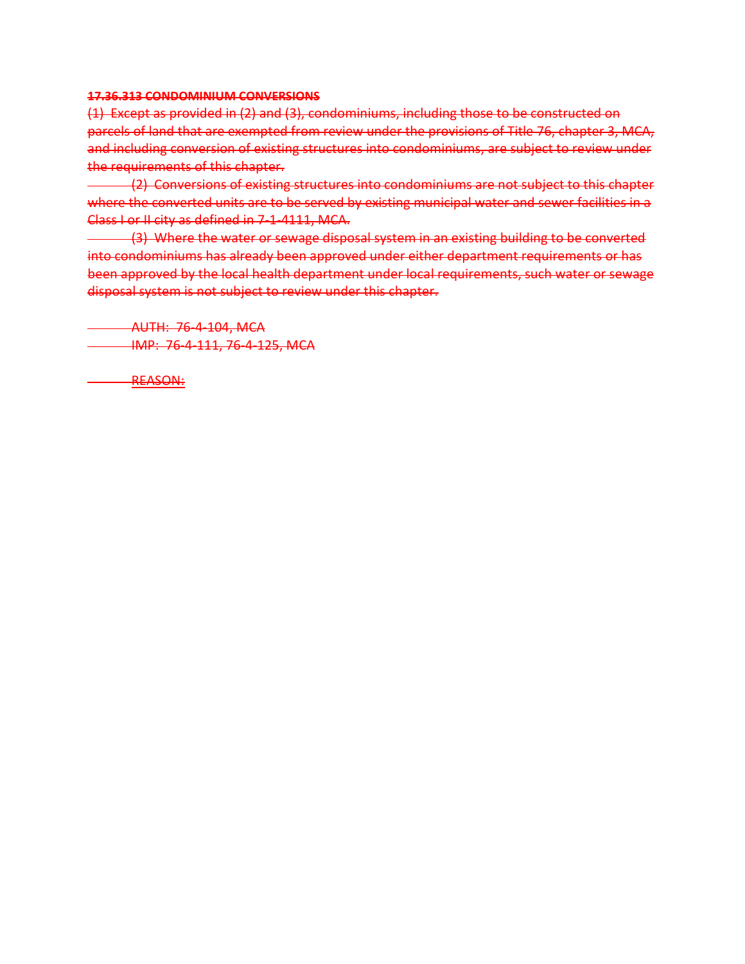## **17.36.313 CONDOMINIUM CONVERSIONS**

(1) Except as provided in (2) and (3), condominiums, including those to be constructed on parcels of land that are exempted from review under the provisions of Title 76, chapter 3, MCA, and including conversion of existing structures into condominiums, are subject to review under the requirements of this chapter.

(2) Conversions of existing structures into condominiums are not subject to this chapter where the converted units are to be served by existing municipal water and sewer facilities in a Class I or II city as defined in 7-1-4111, MCA.

(3) Where the water or sewage disposal system in an existing building to be converted into condominiums has already been approved under either department requirements or has been approved by the local health department under local requirements, such water or sewage disposal system is not subject to review under this chapter.

AUTH: 76-4-104, MCA IMP: 76-4-111, 76-4-125, MCA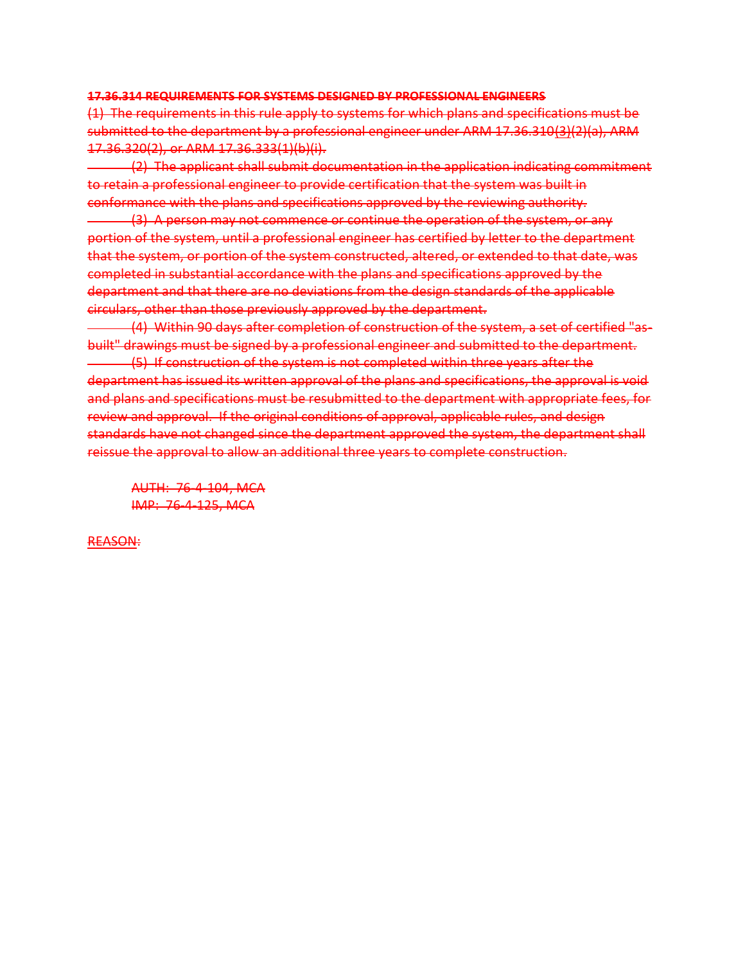#### **17.36.314 REQUIREMENTS FOR SYSTEMS DESIGNED BY PROFESSIONAL ENGINEERS**

(1) The requirements in this rule apply to systems for which plans and specifications must be submitted to the department by a professional engineer under ARM 17.36.310(3)(2)(a), ARM 17.36.320(2), or ARM 17.36.333(1)(b)(i).

(2) The applicant shall submit documentation in the application indicating commitment to retain a professional engineer to provide certification that the system was built in conformance with the plans and specifications approved by the reviewing authority.

(3) A person may not commence or continue the operation of the system, or any portion of the system, until a professional engineer has certified by letter to the department that the system, or portion of the system constructed, altered, or extended to that date, was completed in substantial accordance with the plans and specifications approved by the department and that there are no deviations from the design standards of the applicable circulars, other than those previously approved by the department.

(4) Within 90 days after completion of construction of the system, a set of certified "asbuilt" drawings must be signed by a professional engineer and submitted to the department. (5) If construction of the system is not completed within three years after the department has issued its written approval of the plans and specifications, the approval is void and plans and specifications must be resubmitted to the department with appropriate fees, for review and approval. If the original conditions of approval, applicable rules, and design standards have not changed since the department approved the system, the department shall reissue the approval to allow an additional three years to complete construction.

AUTH: 76-4-104, MCA IMP: 76-4-125, MCA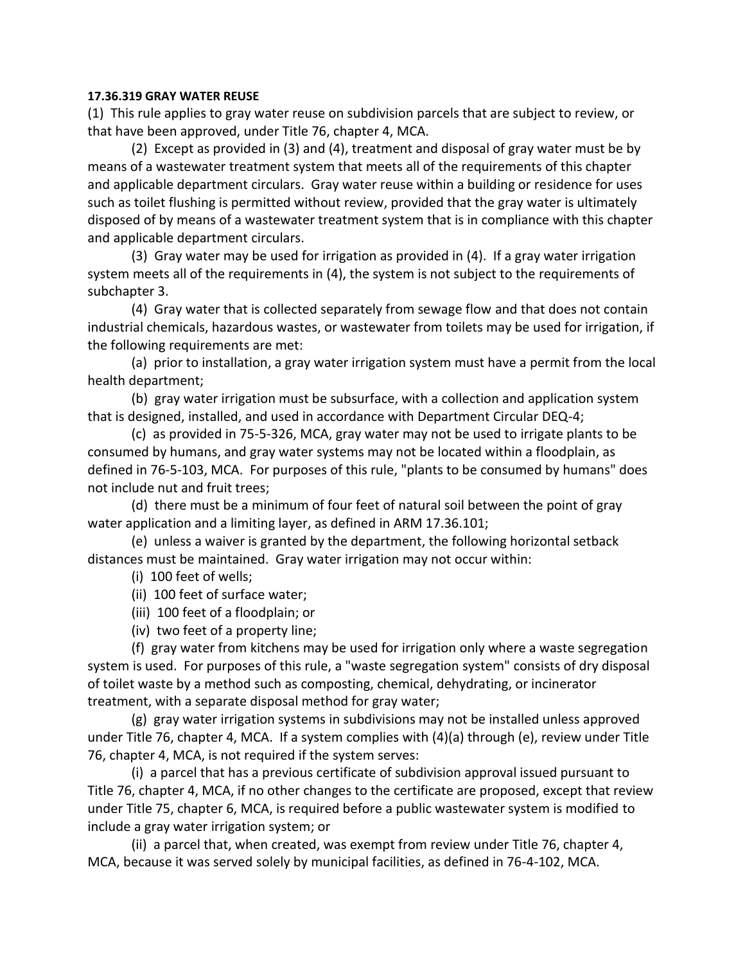# **17.36.319 GRAY WATER REUSE**

(1) This rule applies to gray water reuse on subdivision parcels that are subject to review, or that have been approved, under Title 76, chapter 4, MCA.

(2) Except as provided in (3) and (4), treatment and disposal of gray water must be by means of a wastewater treatment system that meets all of the requirements of this chapter and applicable department circulars. Gray water reuse within a building or residence for uses such as toilet flushing is permitted without review, provided that the gray water is ultimately disposed of by means of a wastewater treatment system that is in compliance with this chapter and applicable department circulars.

(3) Gray water may be used for irrigation as provided in (4). If a gray water irrigation system meets all of the requirements in (4), the system is not subject to the requirements of subchapter 3.

(4) Gray water that is collected separately from sewage flow and that does not contain industrial chemicals, hazardous wastes, or wastewater from toilets may be used for irrigation, if the following requirements are met:

(a) prior to installation, a gray water irrigation system must have a permit from the local health department;

(b) gray water irrigation must be subsurface, with a collection and application system that is designed, installed, and used in accordance with Department Circular DEQ-4;

(c) as provided in 75-5-326, MCA, gray water may not be used to irrigate plants to be consumed by humans, and gray water systems may not be located within a floodplain, as defined in 76-5-103, MCA. For purposes of this rule, "plants to be consumed by humans" does not include nut and fruit trees;

(d) there must be a minimum of four feet of natural soil between the point of gray water application and a limiting layer, as defined in ARM 17.36.101;

(e) unless a waiver is granted by the department, the following horizontal setback distances must be maintained. Gray water irrigation may not occur within:

- (i) 100 feet of wells;
- (ii) 100 feet of surface water;
- (iii) 100 feet of a floodplain; or
- (iv) two feet of a property line;

(f) gray water from kitchens may be used for irrigation only where a waste segregation system is used. For purposes of this rule, a "waste segregation system" consists of dry disposal of toilet waste by a method such as composting, chemical, dehydrating, or incinerator treatment, with a separate disposal method for gray water;

(g) gray water irrigation systems in subdivisions may not be installed unless approved under Title 76, chapter 4, MCA. If a system complies with (4)(a) through (e), review under Title 76, chapter 4, MCA, is not required if the system serves:

(i) a parcel that has a previous certificate of subdivision approval issued pursuant to Title 76, chapter 4, MCA, if no other changes to the certificate are proposed, except that review under Title 75, chapter 6, MCA, is required before a public wastewater system is modified to include a gray water irrigation system; or

(ii) a parcel that, when created, was exempt from review under Title 76, chapter 4, MCA, because it was served solely by municipal facilities, as defined in 76-4-102, MCA.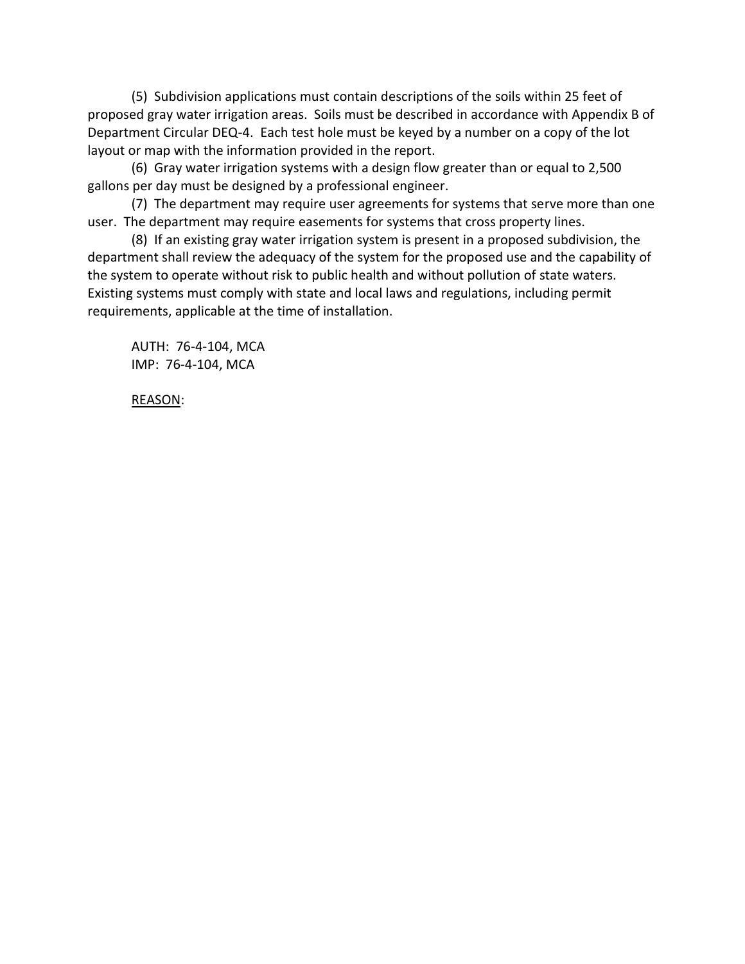(5) Subdivision applications must contain descriptions of the soils within 25 feet of proposed gray water irrigation areas. Soils must be described in accordance with Appendix B of Department Circular DEQ-4. Each test hole must be keyed by a number on a copy of the lot layout or map with the information provided in the report.

(6) Gray water irrigation systems with a design flow greater than or equal to 2,500 gallons per day must be designed by a professional engineer.

(7) The department may require user agreements for systems that serve more than one user. The department may require easements for systems that cross property lines.

(8) If an existing gray water irrigation system is present in a proposed subdivision, the department shall review the adequacy of the system for the proposed use and the capability of the system to operate without risk to public health and without pollution of state waters. Existing systems must comply with state and local laws and regulations, including permit requirements, applicable at the time of installation.

AUTH: 76-4-104, MCA IMP: 76-4-104, MCA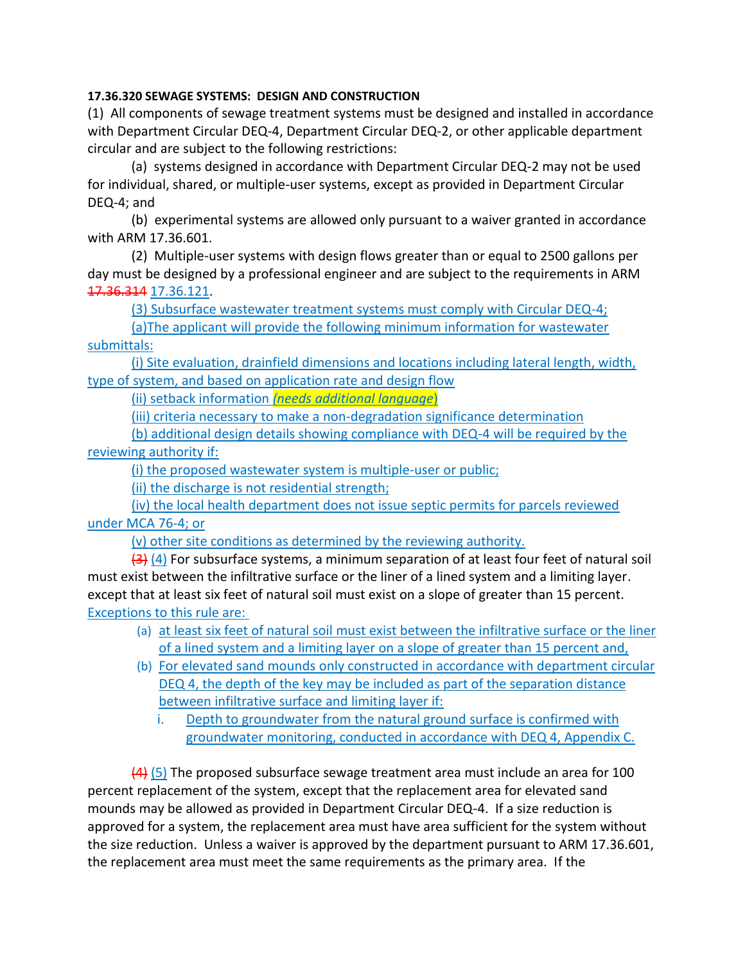# **17.36.320 SEWAGE SYSTEMS: DESIGN AND CONSTRUCTION**

(1) All components of sewage treatment systems must be designed and installed in accordance with Department Circular DEQ-4, Department Circular DEQ-2, or other applicable department circular and are subject to the following restrictions:

(a) systems designed in accordance with Department Circular DEQ-2 may not be used for individual, shared, or multiple-user systems, except as provided in Department Circular DEQ-4; and

(b) experimental systems are allowed only pursuant to a waiver granted in accordance with ARM 17.36.601.

(2) Multiple-user systems with design flows greater than or equal to 2500 gallons per day must be designed by a professional engineer and are subject to the requirements in ARM 17.36.314 17.36.121.

(3) Subsurface wastewater treatment systems must comply with Circular DEQ-4;

(a)The applicant will provide the following minimum information for wastewater submittals:

(i) Site evaluation, drainfield dimensions and locations including lateral length, width, type of system, and based on application rate and design flow

(ii) setback information *(needs additional language*)

(iii) criteria necessary to make a non-degradation significance determination

(b) additional design details showing compliance with DEQ-4 will be required by the reviewing authority if:

(i) the proposed wastewater system is multiple-user or public;

(ii) the discharge is not residential strength;

(iv) the local health department does not issue septic permits for parcels reviewed under MCA 76-4; or

(v) other site conditions as determined by the reviewing authority.

 $\left(4\right)$  (4) For subsurface systems, a minimum separation of at least four feet of natural soil must exist between the infiltrative surface or the liner of a lined system and a limiting layer. except that at least six feet of natural soil must exist on a slope of greater than 15 percent. Exceptions to this rule are:

- (a) at least six feet of natural soil must exist between the infiltrative surface or the liner of a lined system and a limiting layer on a slope of greater than 15 percent and,
- (b) For elevated sand mounds only constructed in accordance with department circular DEQ 4, the depth of the key may be included as part of the separation distance between infiltrative surface and limiting layer if:
	- i. Depth to groundwater from the natural ground surface is confirmed with groundwater monitoring, conducted in accordance with DEQ 4, Appendix C.

 $(4)$  (5) The proposed subsurface sewage treatment area must include an area for 100 percent replacement of the system, except that the replacement area for elevated sand mounds may be allowed as provided in Department Circular DEQ-4. If a size reduction is approved for a system, the replacement area must have area sufficient for the system without the size reduction. Unless a waiver is approved by the department pursuant to ARM 17.36.601, the replacement area must meet the same requirements as the primary area. If the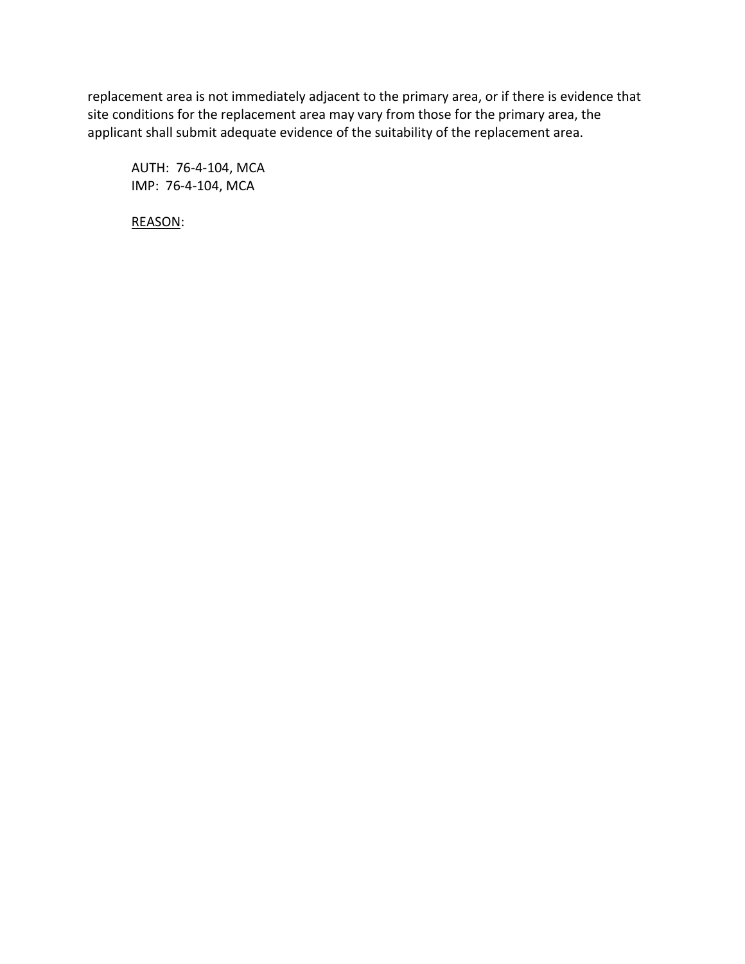replacement area is not immediately adjacent to the primary area, or if there is evidence that site conditions for the replacement area may vary from those for the primary area, the applicant shall submit adequate evidence of the suitability of the replacement area.

AUTH: 76-4-104, MCA IMP: 76-4-104, MCA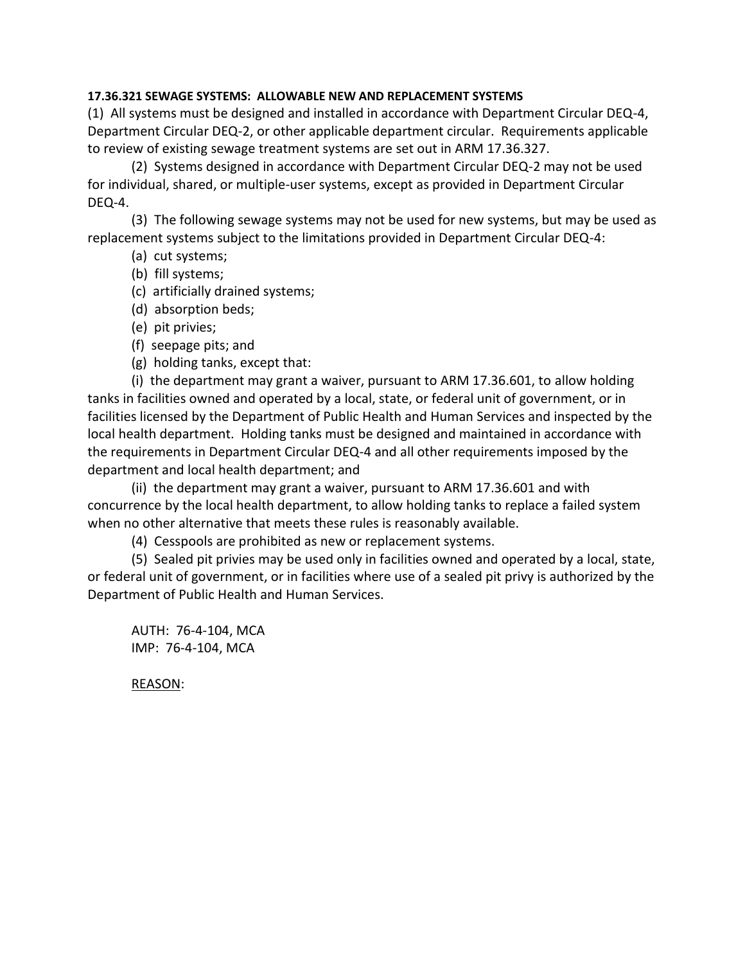# **17.36.321 SEWAGE SYSTEMS: ALLOWABLE NEW AND REPLACEMENT SYSTEMS**

(1) All systems must be designed and installed in accordance with Department Circular DEQ-4, Department Circular DEQ-2, or other applicable department circular. Requirements applicable to review of existing sewage treatment systems are set out in ARM 17.36.327.

(2) Systems designed in accordance with Department Circular DEQ-2 may not be used for individual, shared, or multiple-user systems, except as provided in Department Circular DEQ-4.

(3) The following sewage systems may not be used for new systems, but may be used as replacement systems subject to the limitations provided in Department Circular DEQ-4:

- (a) cut systems;
- (b) fill systems;
- (c) artificially drained systems;
- (d) absorption beds;
- (e) pit privies;
- (f) seepage pits; and
- (g) holding tanks, except that:

(i) the department may grant a waiver, pursuant to ARM 17.36.601, to allow holding tanks in facilities owned and operated by a local, state, or federal unit of government, or in facilities licensed by the Department of Public Health and Human Services and inspected by the local health department. Holding tanks must be designed and maintained in accordance with the requirements in Department Circular DEQ-4 and all other requirements imposed by the department and local health department; and

(ii) the department may grant a waiver, pursuant to ARM 17.36.601 and with concurrence by the local health department, to allow holding tanks to replace a failed system when no other alternative that meets these rules is reasonably available.

(4) Cesspools are prohibited as new or replacement systems.

(5) Sealed pit privies may be used only in facilities owned and operated by a local, state, or federal unit of government, or in facilities where use of a sealed pit privy is authorized by the Department of Public Health and Human Services.

AUTH: 76-4-104, MCA IMP: 76-4-104, MCA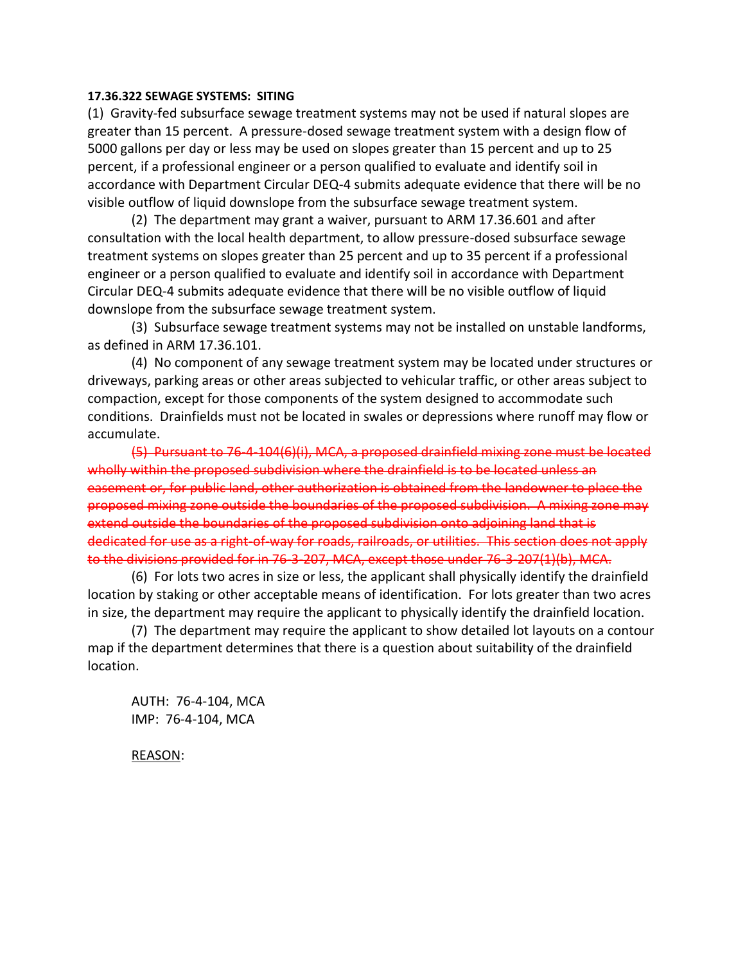### **17.36.322 SEWAGE SYSTEMS: SITING**

(1) Gravity-fed subsurface sewage treatment systems may not be used if natural slopes are greater than 15 percent. A pressure-dosed sewage treatment system with a design flow of 5000 gallons per day or less may be used on slopes greater than 15 percent and up to 25 percent, if a professional engineer or a person qualified to evaluate and identify soil in accordance with Department Circular DEQ-4 submits adequate evidence that there will be no visible outflow of liquid downslope from the subsurface sewage treatment system.

(2) The department may grant a waiver, pursuant to ARM 17.36.601 and after consultation with the local health department, to allow pressure-dosed subsurface sewage treatment systems on slopes greater than 25 percent and up to 35 percent if a professional engineer or a person qualified to evaluate and identify soil in accordance with Department Circular DEQ-4 submits adequate evidence that there will be no visible outflow of liquid downslope from the subsurface sewage treatment system.

(3) Subsurface sewage treatment systems may not be installed on unstable landforms, as defined in ARM 17.36.101.

(4) No component of any sewage treatment system may be located under structures or driveways, parking areas or other areas subjected to vehicular traffic, or other areas subject to compaction, except for those components of the system designed to accommodate such conditions. Drainfields must not be located in swales or depressions where runoff may flow or accumulate.

(5) Pursuant to 76-4-104(6)(i), MCA, a proposed drainfield mixing zone must be located wholly within the proposed subdivision where the drainfield is to be located unless an easement or, for public land, other authorization is obtained from the landowner to place the proposed mixing zone outside the boundaries of the proposed subdivision. A mixing zone may extend outside the boundaries of the proposed subdivision onto adjoining land that is dedicated for use as a right-of-way for roads, railroads, or utilities. This section does not apply to the divisions provided for in 76-3-207, MCA, except those under 76-3-207(1)(b), MCA.

(6) For lots two acres in size or less, the applicant shall physically identify the drainfield location by staking or other acceptable means of identification. For lots greater than two acres in size, the department may require the applicant to physically identify the drainfield location.

(7) The department may require the applicant to show detailed lot layouts on a contour map if the department determines that there is a question about suitability of the drainfield location.

AUTH: 76-4-104, MCA IMP: 76-4-104, MCA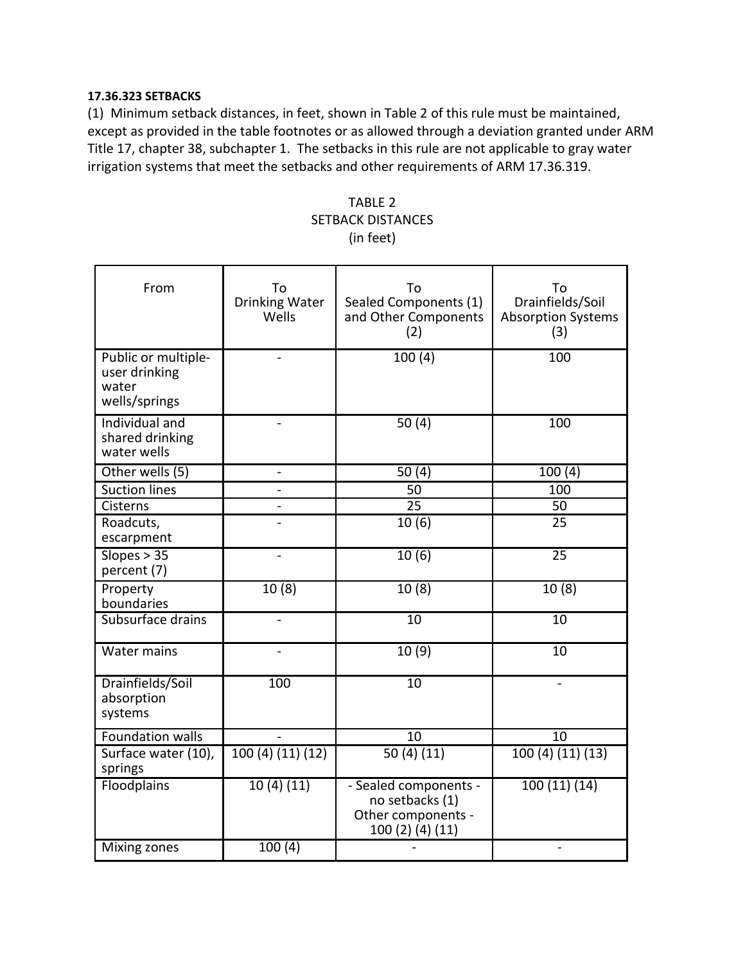# **17.36.323 SETBACKS**

(1) Minimum setback distances, in feet, shown in Table 2 of this rule must be maintained, except as provided in the table footnotes or as allowed through a deviation granted under ARM Title 17, chapter 38, subchapter 1. The setbacks in this rule are not applicable to gray water irrigation systems that meet the setbacks and other requirements of ARM 17.36.319.

# TABLE 2 SETBACK DISTANCES (in feet)

| From                                                           | To<br><b>Drinking Water</b><br>Wells | To<br>Sealed Components (1)<br>and Other Components<br>(2)                         | To<br>Drainfields/Soil<br><b>Absorption Systems</b><br>(3) |
|----------------------------------------------------------------|--------------------------------------|------------------------------------------------------------------------------------|------------------------------------------------------------|
| Public or multiple-<br>user drinking<br>water<br>wells/springs |                                      | 100(4)                                                                             | 100                                                        |
| Individual and<br>shared drinking<br>water wells               |                                      | 50(4)                                                                              | 100                                                        |
| Other wells (5)                                                |                                      | 50(4)                                                                              | 100(4)                                                     |
| <b>Suction lines</b>                                           |                                      | 50                                                                                 | 100                                                        |
| Cisterns                                                       |                                      | 25                                                                                 | 50                                                         |
| Roadcuts,<br>escarpment                                        |                                      | 10(6)                                                                              | 25                                                         |
| Slopes > 35<br>percent (7)                                     | $\overline{a}$                       | 10(6)                                                                              | 25                                                         |
| Property<br>boundaries                                         | 10(8)                                | 10(8)                                                                              | 10(8)                                                      |
| Subsurface drains                                              |                                      | $\overline{10}$                                                                    | $\overline{10}$                                            |
| <b>Water mains</b>                                             |                                      | 10(9)                                                                              | $\overline{10}$                                            |
| Drainfields/Soil<br>absorption<br>systems                      | 100                                  | $\overline{10}$                                                                    |                                                            |
| Foundation walls                                               |                                      | 10                                                                                 | 10                                                         |
| Surface water (10),<br>springs                                 | 100(4)(11)(12)                       | 50(4)(11)                                                                          | 100 (4) (11) (13)                                          |
| Floodplains                                                    | 10(4)(11)                            | - Sealed components -<br>no setbacks (1)<br>Other components -<br>100 (2) (4) (11) | 100(11)(14)                                                |
| Mixing zones                                                   | 100(4)                               |                                                                                    |                                                            |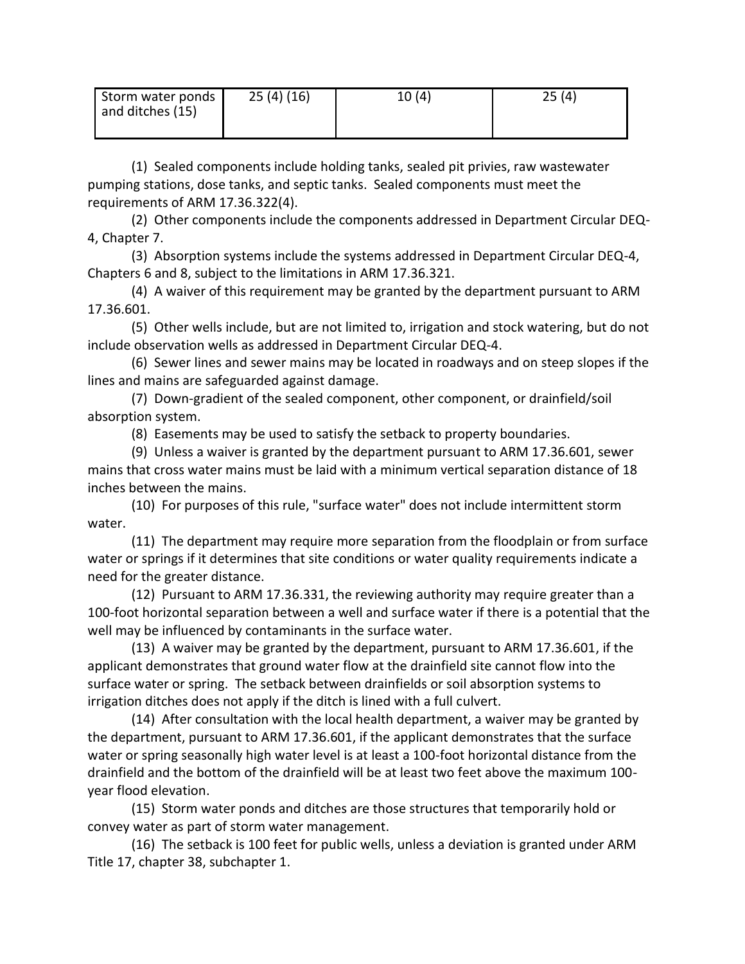| Storm water ponds<br>and ditches (15) | 25(4)(16) | 10(4) | 25(4) |
|---------------------------------------|-----------|-------|-------|
|                                       |           |       |       |

(1) Sealed components include holding tanks, sealed pit privies, raw wastewater pumping stations, dose tanks, and septic tanks. Sealed components must meet the requirements of ARM 17.36.322(4).

(2) Other components include the components addressed in Department Circular DEQ-4, Chapter 7.

(3) Absorption systems include the systems addressed in Department Circular DEQ-4, Chapters 6 and 8, subject to the limitations in ARM 17.36.321.

(4) A waiver of this requirement may be granted by the department pursuant to ARM 17.36.601.

(5) Other wells include, but are not limited to, irrigation and stock watering, but do not include observation wells as addressed in Department Circular DEQ-4.

(6) Sewer lines and sewer mains may be located in roadways and on steep slopes if the lines and mains are safeguarded against damage.

(7) Down-gradient of the sealed component, other component, or drainfield/soil absorption system.

(8) Easements may be used to satisfy the setback to property boundaries.

(9) Unless a waiver is granted by the department pursuant to ARM 17.36.601, sewer mains that cross water mains must be laid with a minimum vertical separation distance of 18 inches between the mains.

(10) For purposes of this rule, "surface water" does not include intermittent storm water.

(11) The department may require more separation from the floodplain or from surface water or springs if it determines that site conditions or water quality requirements indicate a need for the greater distance.

(12) Pursuant to ARM 17.36.331, the reviewing authority may require greater than a 100-foot horizontal separation between a well and surface water if there is a potential that the well may be influenced by contaminants in the surface water.

(13) A waiver may be granted by the department, pursuant to ARM 17.36.601, if the applicant demonstrates that ground water flow at the drainfield site cannot flow into the surface water or spring. The setback between drainfields or soil absorption systems to irrigation ditches does not apply if the ditch is lined with a full culvert.

(14) After consultation with the local health department, a waiver may be granted by the department, pursuant to ARM 17.36.601, if the applicant demonstrates that the surface water or spring seasonally high water level is at least a 100-foot horizontal distance from the drainfield and the bottom of the drainfield will be at least two feet above the maximum 100 year flood elevation.

(15) Storm water ponds and ditches are those structures that temporarily hold or convey water as part of storm water management.

(16) The setback is 100 feet for public wells, unless a deviation is granted under ARM Title 17, chapter 38, subchapter 1.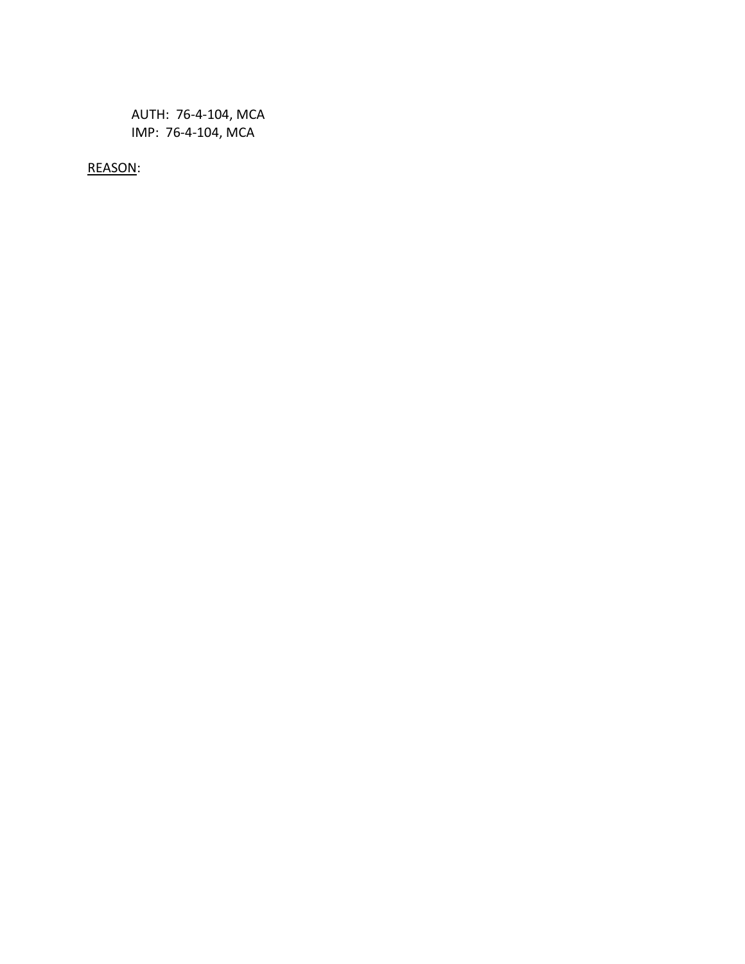AUTH: 76-4-104, MCA IMP: 76-4-104, MCA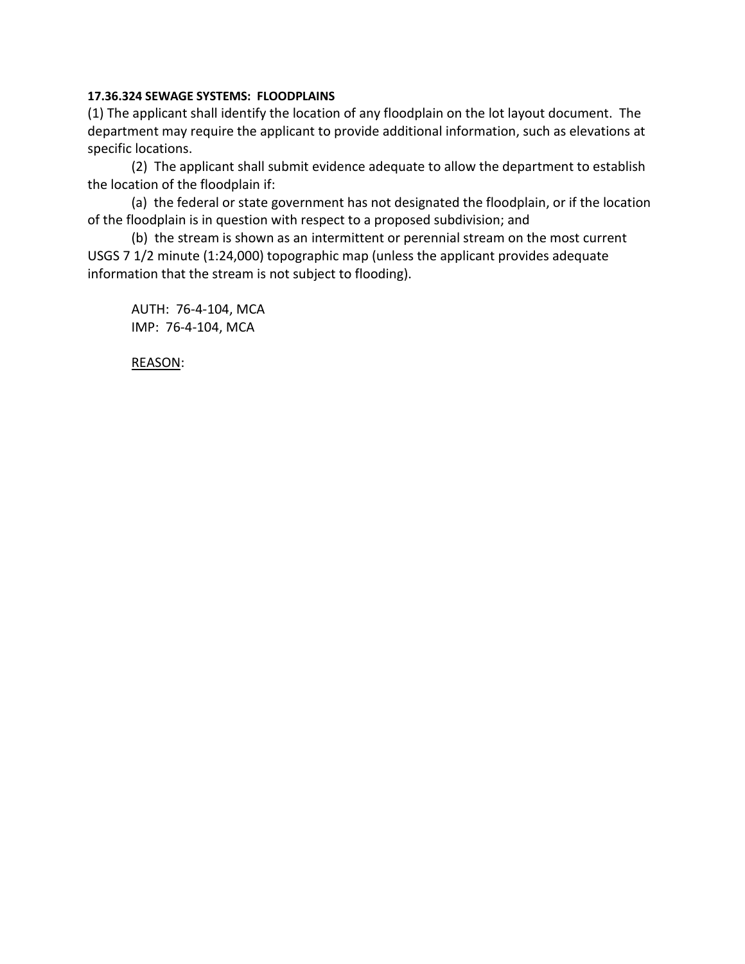# **17.36.324 SEWAGE SYSTEMS: FLOODPLAINS**

(1) The applicant shall identify the location of any floodplain on the lot layout document. The department may require the applicant to provide additional information, such as elevations at specific locations.

(2) The applicant shall submit evidence adequate to allow the department to establish the location of the floodplain if:

(a) the federal or state government has not designated the floodplain, or if the location of the floodplain is in question with respect to a proposed subdivision; and

(b) the stream is shown as an intermittent or perennial stream on the most current USGS 7 1/2 minute (1:24,000) topographic map (unless the applicant provides adequate information that the stream is not subject to flooding).

AUTH: 76-4-104, MCA IMP: 76-4-104, MCA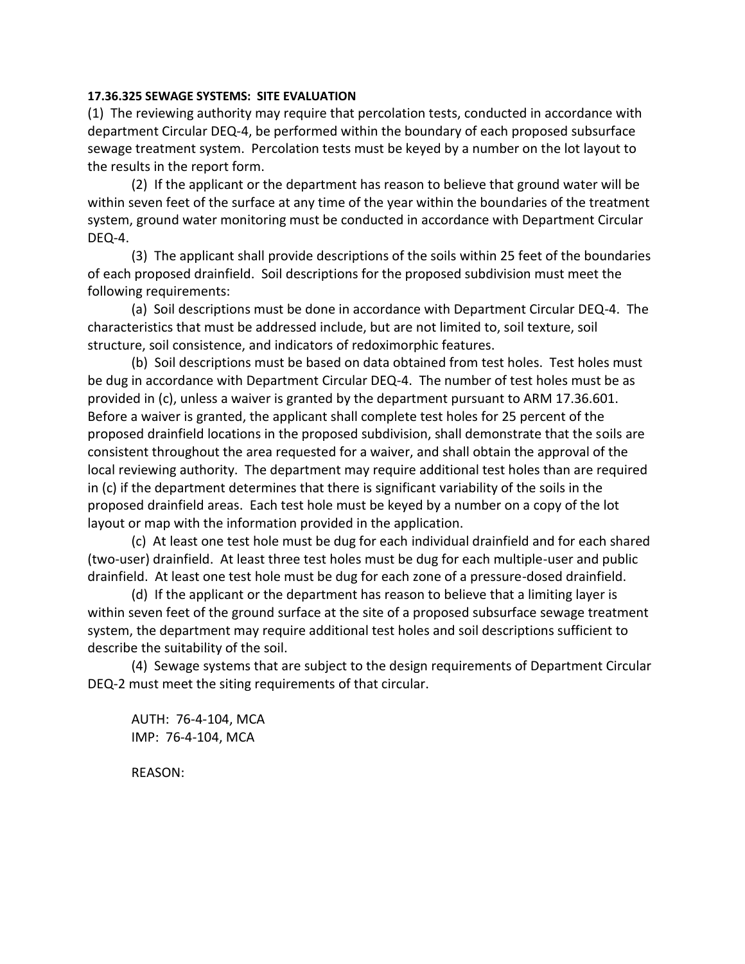## **17.36.325 SEWAGE SYSTEMS: SITE EVALUATION**

(1) The reviewing authority may require that percolation tests, conducted in accordance with department Circular DEQ-4, be performed within the boundary of each proposed subsurface sewage treatment system. Percolation tests must be keyed by a number on the lot layout to the results in the report form.

(2) If the applicant or the department has reason to believe that ground water will be within seven feet of the surface at any time of the year within the boundaries of the treatment system, ground water monitoring must be conducted in accordance with Department Circular DEQ-4.

(3) The applicant shall provide descriptions of the soils within 25 feet of the boundaries of each proposed drainfield. Soil descriptions for the proposed subdivision must meet the following requirements:

(a) Soil descriptions must be done in accordance with Department Circular DEQ-4. The characteristics that must be addressed include, but are not limited to, soil texture, soil structure, soil consistence, and indicators of redoximorphic features.

(b) Soil descriptions must be based on data obtained from test holes. Test holes must be dug in accordance with Department Circular DEQ-4. The number of test holes must be as provided in (c), unless a waiver is granted by the department pursuant to ARM 17.36.601. Before a waiver is granted, the applicant shall complete test holes for 25 percent of the proposed drainfield locations in the proposed subdivision, shall demonstrate that the soils are consistent throughout the area requested for a waiver, and shall obtain the approval of the local reviewing authority. The department may require additional test holes than are required in (c) if the department determines that there is significant variability of the soils in the proposed drainfield areas. Each test hole must be keyed by a number on a copy of the lot layout or map with the information provided in the application.

(c) At least one test hole must be dug for each individual drainfield and for each shared (two-user) drainfield. At least three test holes must be dug for each multiple-user and public drainfield. At least one test hole must be dug for each zone of a pressure-dosed drainfield.

(d) If the applicant or the department has reason to believe that a limiting layer is within seven feet of the ground surface at the site of a proposed subsurface sewage treatment system, the department may require additional test holes and soil descriptions sufficient to describe the suitability of the soil.

(4) Sewage systems that are subject to the design requirements of Department Circular DEQ-2 must meet the siting requirements of that circular.

AUTH: 76-4-104, MCA IMP: 76-4-104, MCA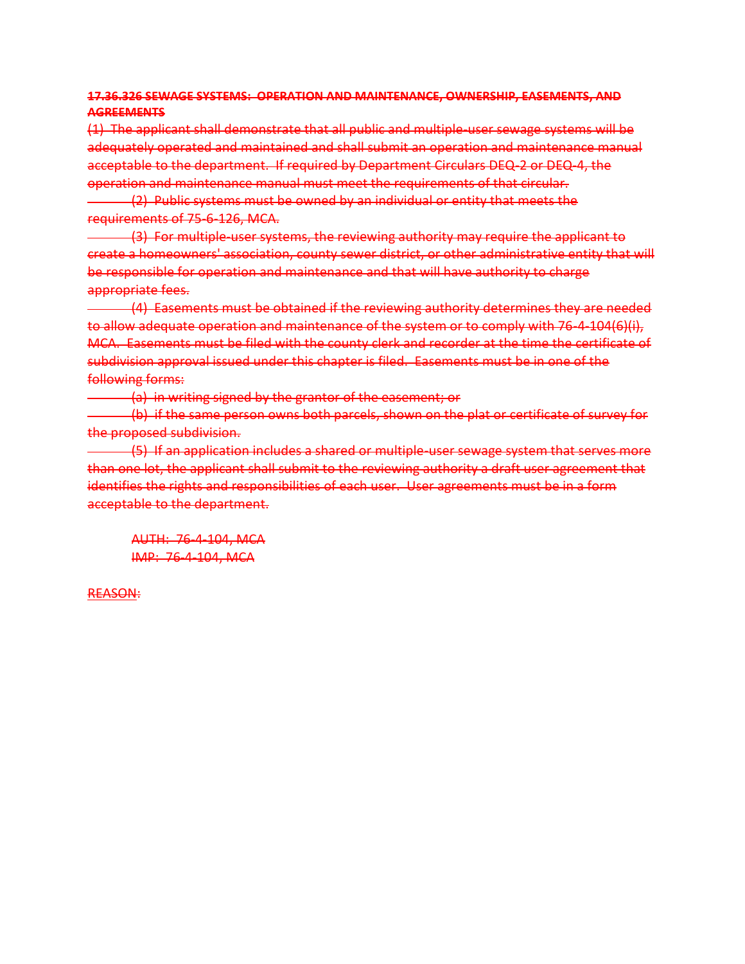# **17.36.326 SEWAGE SYSTEMS: OPERATION AND MAINTENANCE, OWNERSHIP, EASEMENTS, AND AGREEMENTS**

(1) The applicant shall demonstrate that all public and multiple-user sewage systems will be adequately operated and maintained and shall submit an operation and maintenance manual acceptable to the department. If required by Department Circulars DEQ-2 or DEQ-4, the operation and maintenance manual must meet the requirements of that circular. (2) Public systems must be owned by an individual or entity that meets the requirements of 75-6-126, MCA.

(3) For multiple-user systems, the reviewing authority may require the applicant to create a homeowners' association, county sewer district, or other administrative entity that will be responsible for operation and maintenance and that will have authority to charge appropriate fees.

(4) Easements must be obtained if the reviewing authority determines they are needed to allow adequate operation and maintenance of the system or to comply with 76-4-104(6)(i), MCA. Easements must be filed with the county clerk and recorder at the time the certificate of subdivision approval issued under this chapter is filed. Easements must be in one of the following forms:

(a) in writing signed by the grantor of the easement; or

(b) if the same person owns both parcels, shown on the plat or certificate of survey for the proposed subdivision.

(5) If an application includes a shared or multiple-user sewage system that serves more than one lot, the applicant shall submit to the reviewing authority a draft user agreement that identifies the rights and responsibilities of each user. User agreements must be in a form acceptable to the department.

AUTH: 76-4-104, MCA IMP: 76-4-104, MCA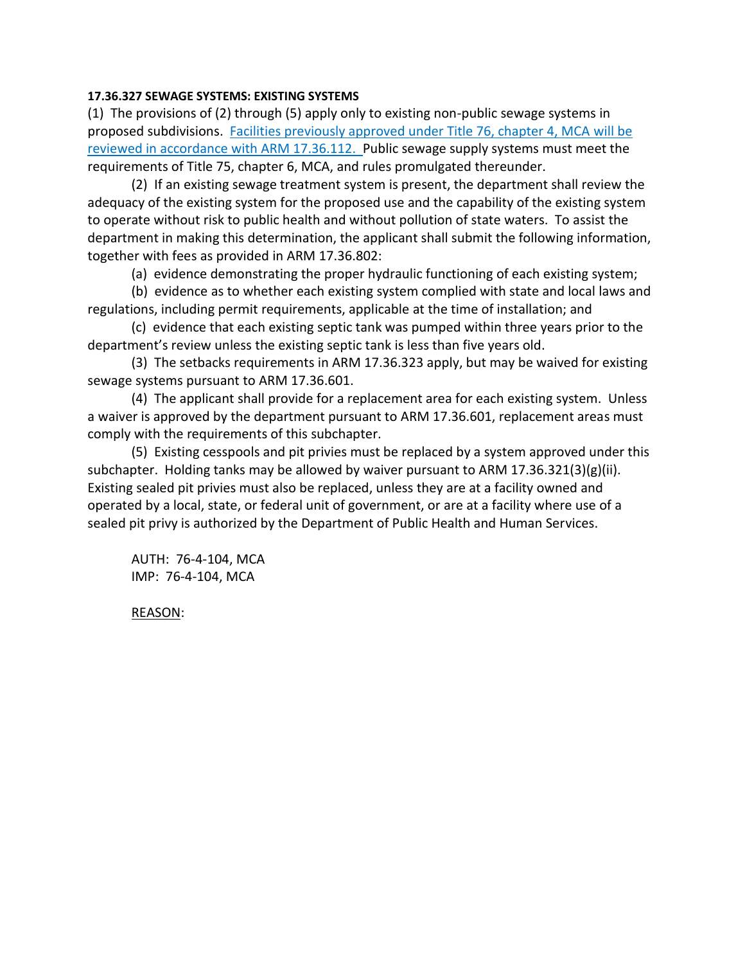# **17.36.327 SEWAGE SYSTEMS: EXISTING SYSTEMS**

(1) The provisions of (2) through (5) apply only to existing non-public sewage systems in proposed subdivisions. Facilities previously approved under Title 76, chapter 4, MCA will be reviewed in accordance with ARM 17.36.112. Public sewage supply systems must meet the requirements of Title 75, chapter 6, MCA, and rules promulgated thereunder.

(2) If an existing sewage treatment system is present, the department shall review the adequacy of the existing system for the proposed use and the capability of the existing system to operate without risk to public health and without pollution of state waters. To assist the department in making this determination, the applicant shall submit the following information, together with fees as provided in ARM 17.36.802:

(a) evidence demonstrating the proper hydraulic functioning of each existing system;

(b) evidence as to whether each existing system complied with state and local laws and regulations, including permit requirements, applicable at the time of installation; and

(c) evidence that each existing septic tank was pumped within three years prior to the department's review unless the existing septic tank is less than five years old.

(3) The setbacks requirements in ARM 17.36.323 apply, but may be waived for existing sewage systems pursuant to ARM 17.36.601.

(4) The applicant shall provide for a replacement area for each existing system. Unless a waiver is approved by the department pursuant to ARM 17.36.601, replacement areas must comply with the requirements of this subchapter.

(5) Existing cesspools and pit privies must be replaced by a system approved under this subchapter. Holding tanks may be allowed by waiver pursuant to ARM 17.36.321(3)(g)(ii). Existing sealed pit privies must also be replaced, unless they are at a facility owned and operated by a local, state, or federal unit of government, or are at a facility where use of a sealed pit privy is authorized by the Department of Public Health and Human Services.

AUTH: 76-4-104, MCA IMP: 76-4-104, MCA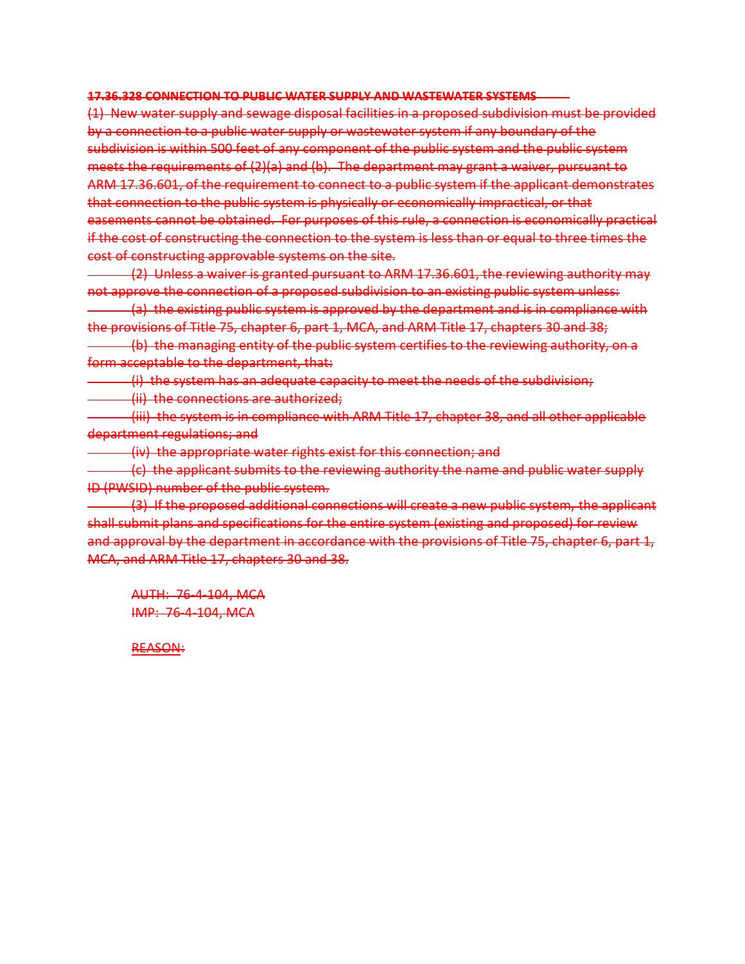### **17.36.328 CONNECTION TO PUBLIC WATER SUPPLY AND WASTEWATER SYSTEMS**

(1) New water supply and sewage disposal facilities in a proposed subdivision must be provided by a connection to a public water supply or wastewater system if any boundary of the subdivision is within 500 feet of any component of the public system and the public system meets the requirements of (2)(a) and (b). The department may grant a waiver, pursuant to ARM 17.36.601, of the requirement to connect to a public system if the applicant demonstrates that connection to the public system is physically or economically impractical, or that easements cannot be obtained. For purposes of this rule, a connection is economically practical if the cost of constructing the connection to the system is less than or equal to three times the cost of constructing approvable systems on the site.

(2) Unless a waiver is granted pursuant to ARM 17.36.601, the reviewing authority may not approve the connection of a proposed subdivision to an existing public system unless:

(a) the existing public system is approved by the department and is in compliance with the provisions of Title 75, chapter 6, part 1, MCA, and ARM Title 17, chapters 30 and 38;

(b) the managing entity of the public system certifies to the reviewing authority, on a form acceptable to the department, that:

(i) the system has an adequate capacity to meet the needs of the subdivision;

(ii) the connections are authorized;

(iii) the system is in compliance with ARM Title 17, chapter 38, and all other applicable department regulations; and

(iv) the appropriate water rights exist for this connection; and

(c) the applicant submits to the reviewing authority the name and public water supply ID (PWSID) number of the public system.

(3) If the proposed additional connections will create a new public system, the applicant shall submit plans and specifications for the entire system (existing and proposed) for review and approval by the department in accordance with the provisions of Title 75, chapter 6, part 1, MCA, and ARM Title 17, chapters 30 and 38.

AUTH: 76-4-104, MCA IMP: 76-4-104, MCA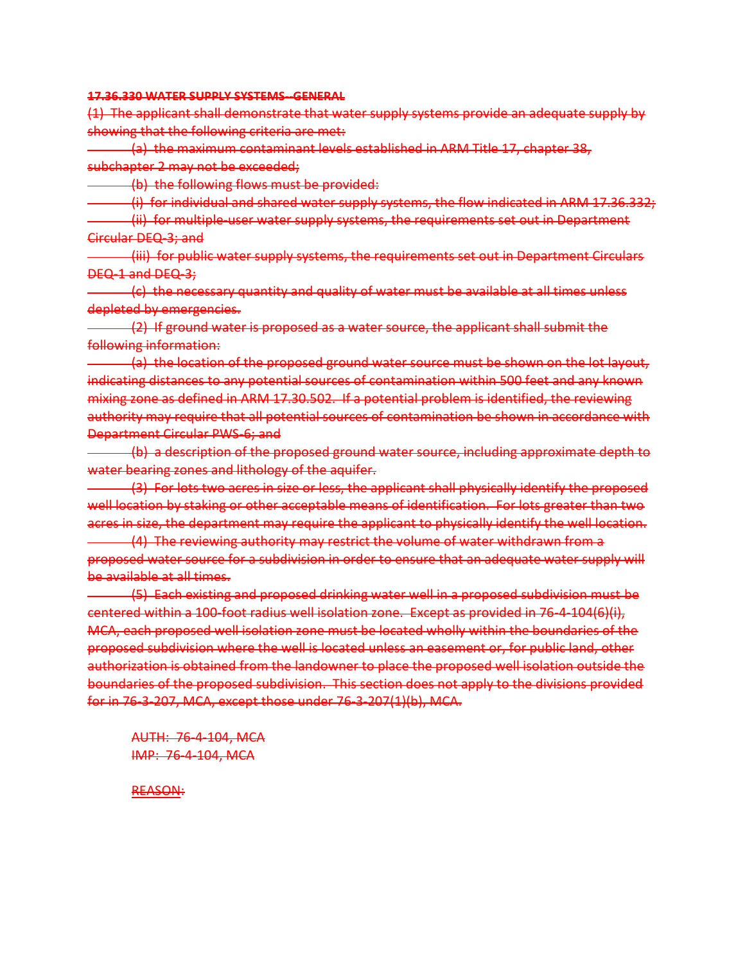**17.36.330 WATER SUPPLY SYSTEMS--GENERAL**

(1) The applicant shall demonstrate that water supply systems provide an adequate supply by showing that the following criteria are met:

(a) the maximum contaminant levels established in ARM Title 17, chapter 38, subchapter 2 may not be exceeded;

(b) the following flows must be provided:

(i) for individual and shared water supply systems, the flow indicated in ARM 17.36.332; (ii) for multiple-user water supply systems, the requirements set out in Department Circular DEQ-3; and

(iii) for public water supply systems, the requirements set out in Department Circulars DEQ-1 and DEQ-3;

(c) the necessary quantity and quality of water must be available at all times unless depleted by emergencies.

(2) If ground water is proposed as a water source, the applicant shall submit the following information:

(a) the location of the proposed ground water source must be shown on the lot layout, indicating distances to any potential sources of contamination within 500 feet and any known mixing zone as defined in ARM 17.30.502. If a potential problem is identified, the reviewing authority may require that all potential sources of contamination be shown in accordance with Department Circular PWS-6; and

(b) a description of the proposed ground water source, including approximate depth to water bearing zones and lithology of the aquifer.

(3) For lots two acres in size or less, the applicant shall physically identify the proposed well location by staking or other acceptable means of identification. For lots greater than two acres in size, the department may require the applicant to physically identify the well location.

(4) The reviewing authority may restrict the volume of water withdrawn from a proposed water source for a subdivision in order to ensure that an adequate water supply will be available at all times.

(5) Each existing and proposed drinking water well in a proposed subdivision must be centered within a 100-foot radius well isolation zone. Except as provided in 76-4-104(6)(i), MCA, each proposed well isolation zone must be located wholly within the boundaries of the proposed subdivision where the well is located unless an easement or, for public land, other authorization is obtained from the landowner to place the proposed well isolation outside the boundaries of the proposed subdivision. This section does not apply to the divisions provided for in 76-3-207, MCA, except those under 76-3-207(1)(b), MCA.

AUTH: 76-4-104, MCA IMP: 76-4-104, MCA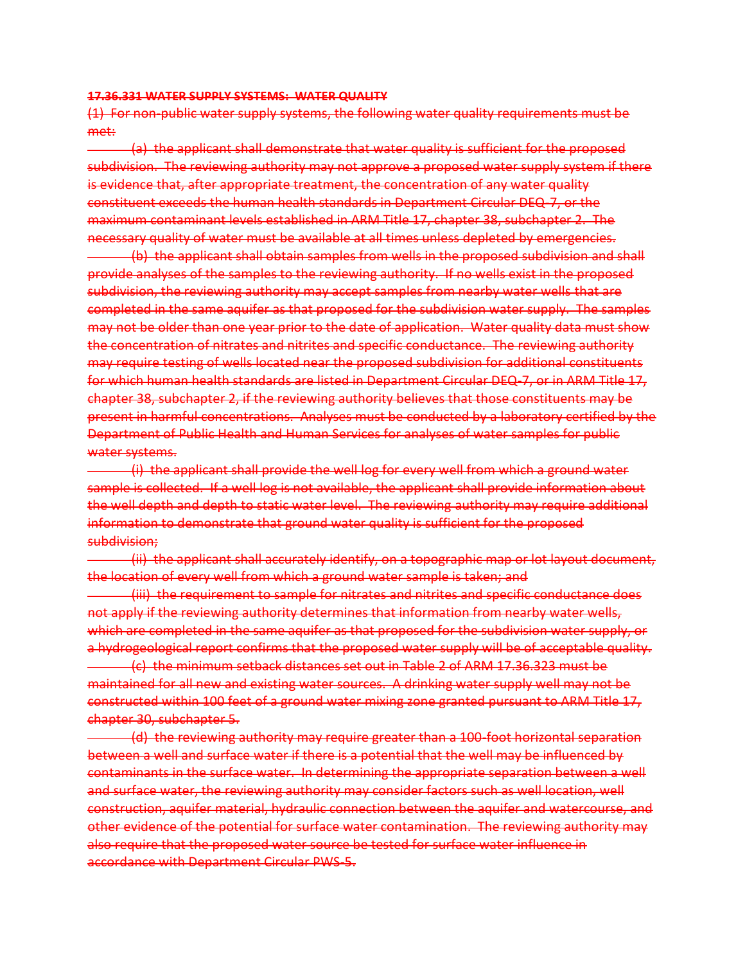#### **17.36.331 WATER SUPPLY SYSTEMS: WATER QUALITY**

(1) For non-public water supply systems, the following water quality requirements must be met:

(a) the applicant shall demonstrate that water quality is sufficient for the proposed subdivision. The reviewing authority may not approve a proposed water supply system if there is evidence that, after appropriate treatment, the concentration of any water quality constituent exceeds the human health standards in Department Circular DEQ-7, or the maximum contaminant levels established in ARM Title 17, chapter 38, subchapter 2. The necessary quality of water must be available at all times unless depleted by emergencies.

(b) the applicant shall obtain samples from wells in the proposed subdivision and shall provide analyses of the samples to the reviewing authority. If no wells exist in the proposed subdivision, the reviewing authority may accept samples from nearby water wells that are completed in the same aquifer as that proposed for the subdivision water supply. The samples may not be older than one year prior to the date of application. Water quality data must show the concentration of nitrates and nitrites and specific conductance. The reviewing authority may require testing of wells located near the proposed subdivision for additional constituents for which human health standards are listed in Department Circular DEQ-7, or in ARM Title 17, chapter 38, subchapter 2, if the reviewing authority believes that those constituents may be present in harmful concentrations. Analyses must be conducted by a laboratory certified by the Department of Public Health and Human Services for analyses of water samples for public water systems.

(i) the applicant shall provide the well log for every well from which a ground water sample is collected. If a well log is not available, the applicant shall provide information about the well depth and depth to static water level. The reviewing authority may require additional information to demonstrate that ground water quality is sufficient for the proposed subdivision;

(ii) the applicant shall accurately identify, on a topographic map or lot layout document, the location of every well from which a ground water sample is taken; and

(iii) the requirement to sample for nitrates and nitrites and specific conductance does not apply if the reviewing authority determines that information from nearby water wells, which are completed in the same aquifer as that proposed for the subdivision water supply, or a hydrogeological report confirms that the proposed water supply will be of acceptable quality.

(c) the minimum setback distances set out in Table 2 of ARM 17.36.323 must be maintained for all new and existing water sources. A drinking water supply well may not be constructed within 100 feet of a ground water mixing zone granted pursuant to ARM Title 17, chapter 30, subchapter 5.

(d) the reviewing authority may require greater than a 100-foot horizontal separation between a well and surface water if there is a potential that the well may be influenced by contaminants in the surface water. In determining the appropriate separation between a well and surface water, the reviewing authority may consider factors such as well location, well construction, aquifer material, hydraulic connection between the aquifer and watercourse, and other evidence of the potential for surface water contamination. The reviewing authority may also require that the proposed water source be tested for surface water influence in accordance with Department Circular PWS-5.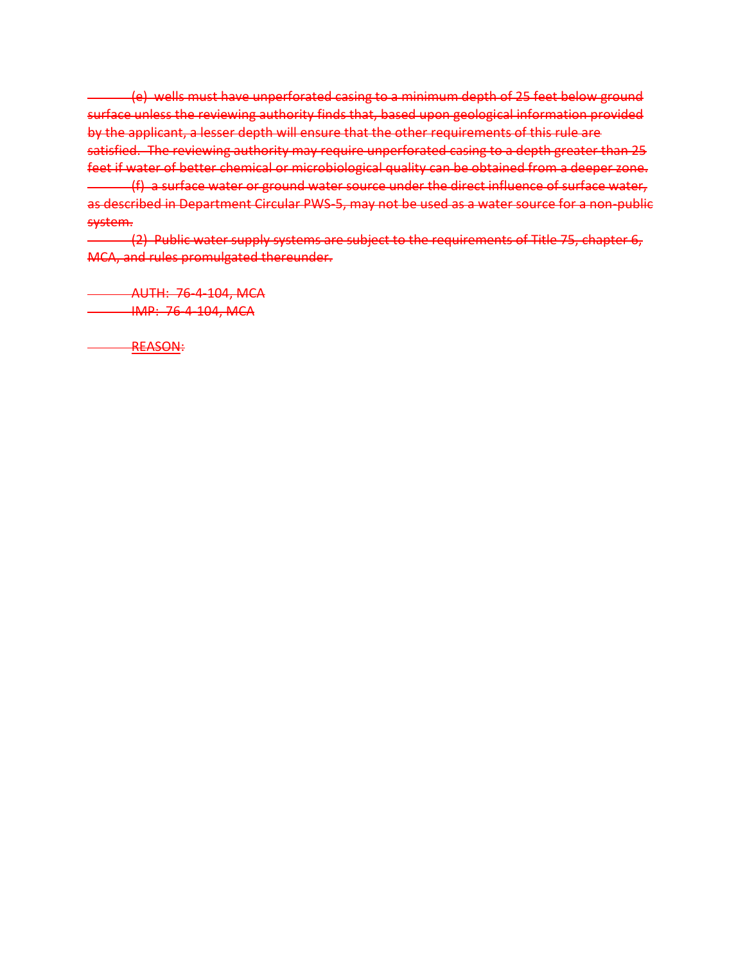(e) wells must have unperforated casing to a minimum depth of 25 feet below ground surface unless the reviewing authority finds that, based upon geological information provided by the applicant, a lesser depth will ensure that the other requirements of this rule are satisfied. The reviewing authority may require unperforated casing to a depth greater than 25 feet if water of better chemical or microbiological quality can be obtained from a deeper zone. (f) a surface water or ground water source under the direct influence of surface water, as described in Department Circular PWS-5, may not be used as a water source for a non-public system.

(2) Public water supply systems are subject to the requirements of Title 75, chapter 6, MCA, and rules promulgated thereunder.

AUTH: 76-4-104, MCA **IMP: 76-4-104, MCA**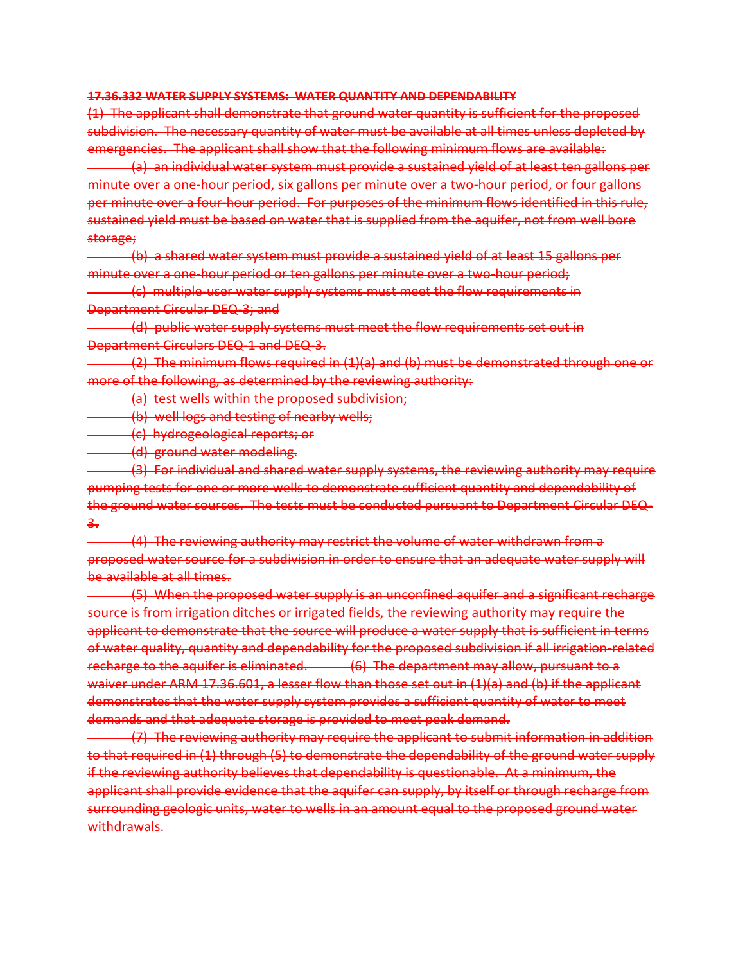#### **17.36.332 WATER SUPPLY SYSTEMS: WATER QUANTITY AND DEPENDABILITY**

(1) The applicant shall demonstrate that ground water quantity is sufficient for the proposed subdivision. The necessary quantity of water must be available at all times unless depleted by emergencies. The applicant shall show that the following minimum flows are available:

(a) an individual water system must provide a sustained yield of at least ten gallons per minute over a one-hour period, six gallons per minute over a two-hour period, or four gallons per minute over a four-hour period. For purposes of the minimum flows identified in this rule, sustained yield must be based on water that is supplied from the aquifer, not from well bore storage;

(b) a shared water system must provide a sustained yield of at least 15 gallons per minute over a one-hour period or ten gallons per minute over a two-hour period;

(c) multiple-user water supply systems must meet the flow requirements in Department Circular DEQ-3; and

(d) public water supply systems must meet the flow requirements set out in Department Circulars DEQ-1 and DEQ-3.

(2) The minimum flows required in (1)(a) and (b) must be demonstrated through one or more of the following, as determined by the reviewing authority:

(a) test wells within the proposed subdivision;

(b) well logs and testing of nearby wells;

(c) hydrogeological reports; or

(d) ground water modeling.

(3) For individual and shared water supply systems, the reviewing authority may require pumping tests for one or more wells to demonstrate sufficient quantity and dependability of the ground water sources. The tests must be conducted pursuant to Department Circular DEQ-3.

(4) The reviewing authority may restrict the volume of water withdrawn from a proposed water source for a subdivision in order to ensure that an adequate water supply will be available at all times.

(5) When the proposed water supply is an unconfined aquifer and a significant recharge source is from irrigation ditches or irrigated fields, the reviewing authority may require the applicant to demonstrate that the source will produce a water supply that is sufficient in terms of water quality, quantity and dependability for the proposed subdivision if all irrigation-related recharge to the aquifer is eliminated. (6) The department may allow, pursuant to a waiver under ARM 17.36.601, a lesser flow than those set out in (1)(a) and (b) if the applicant demonstrates that the water supply system provides a sufficient quantity of water to meet demands and that adequate storage is provided to meet peak demand.

(7) The reviewing authority may require the applicant to submit information in addition to that required in (1) through (5) to demonstrate the dependability of the ground water supply if the reviewing authority believes that dependability is questionable. At a minimum, the applicant shall provide evidence that the aquifer can supply, by itself or through recharge from surrounding geologic units, water to wells in an amount equal to the proposed ground water withdrawals.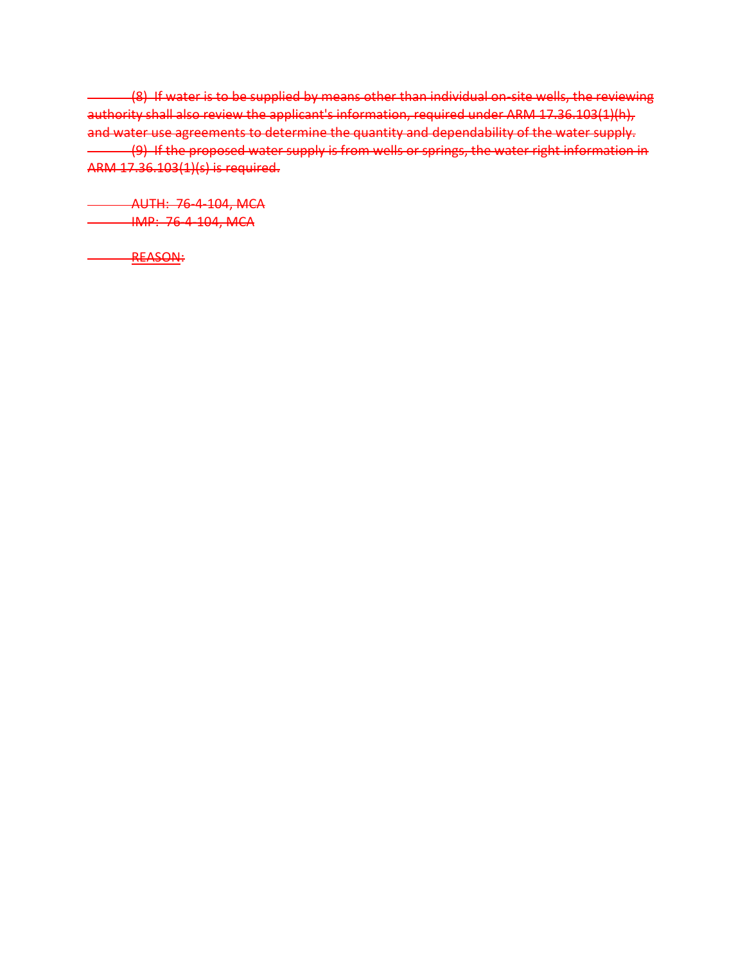(8) If water is to be supplied by means other than individual on-site wells, the reviewing authority shall also review the applicant's information, required under ARM 17.36.103(1)(h), and water use agreements to determine the quantity and dependability of the water supply. (9) If the proposed water supply is from wells or springs, the water right information in ARM 17.36.103(1)(s) is required.

AUTH: 76-4-104, MCA **IMP: 76-4-104, MCA**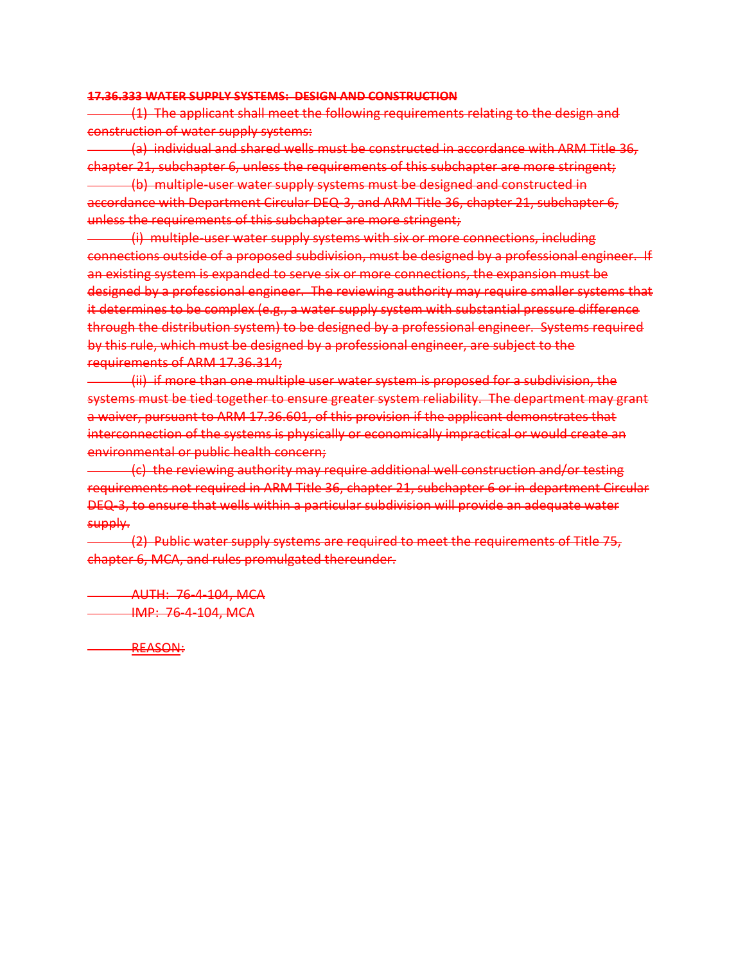#### **17.36.333 WATER SUPPLY SYSTEMS: DESIGN AND CONSTRUCTION**

(1) The applicant shall meet the following requirements relating to the design and construction of water supply systems:

(a) individual and shared wells must be constructed in accordance with ARM Title 36, chapter 21, subchapter 6, unless the requirements of this subchapter are more stringent; (b) multiple-user water supply systems must be designed and constructed in accordance with Department Circular DEQ-3, and ARM Title 36, chapter 21, subchapter 6, unless the requirements of this subchapter are more stringent;

(i) multiple-user water supply systems with six or more connections, including connections outside of a proposed subdivision, must be designed by a professional engineer. If an existing system is expanded to serve six or more connections, the expansion must be designed by a professional engineer. The reviewing authority may require smaller systems that it determines to be complex (e.g., a water supply system with substantial pressure difference through the distribution system) to be designed by a professional engineer. Systems required by this rule, which must be designed by a professional engineer, are subject to the requirements of ARM 17.36.314;

(ii) if more than one multiple user water system is proposed for a subdivision, the systems must be tied together to ensure greater system reliability. The department may grant a waiver, pursuant to ARM 17.36.601, of this provision if the applicant demonstrates that interconnection of the systems is physically or economically impractical or would create an environmental or public health concern;

(c) the reviewing authority may require additional well construction and/or testing requirements not required in ARM Title 36, chapter 21, subchapter 6 or in department Circular DEQ-3, to ensure that wells within a particular subdivision will provide an adequate water supply.

(2) Public water supply systems are required to meet the requirements of Title 75, chapter 6, MCA, and rules promulgated thereunder.

AUTH: 76-4-104, MCA **IMP: 76-4-104, MCA**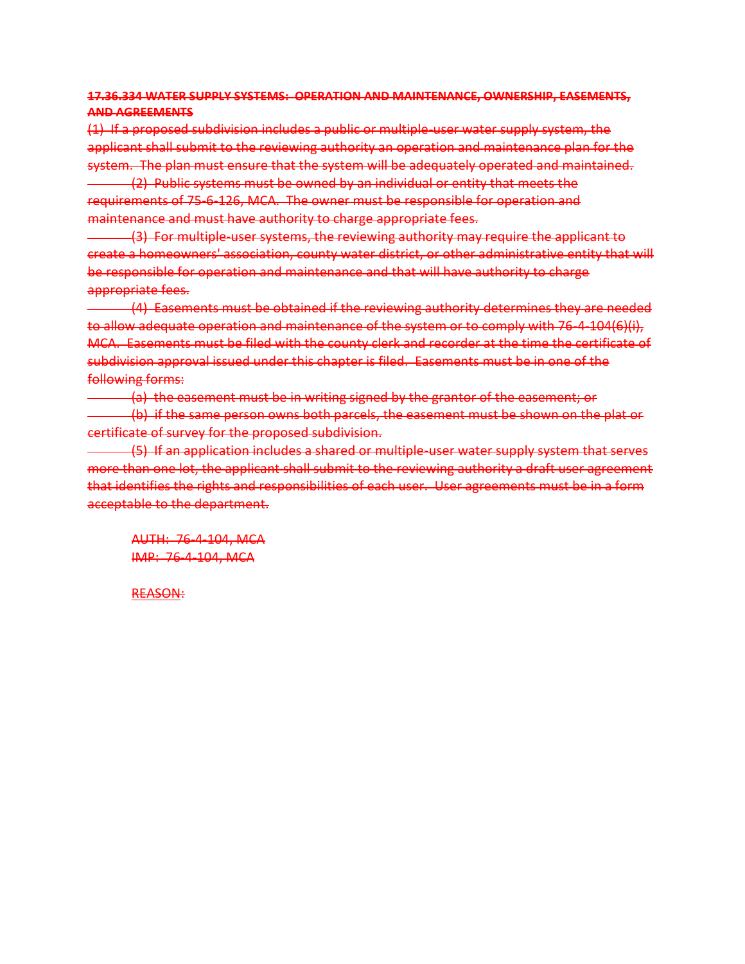# **17.36.334 WATER SUPPLY SYSTEMS: OPERATION AND MAINTENANCE, OWNERSHIP, EASEMENTS, AND AGREEMENTS**

(1) If a proposed subdivision includes a public or multiple-user water supply system, the applicant shall submit to the reviewing authority an operation and maintenance plan for the system. The plan must ensure that the system will be adequately operated and maintained.

(2) Public systems must be owned by an individual or entity that meets the requirements of 75-6-126, MCA. The owner must be responsible for operation and maintenance and must have authority to charge appropriate fees.

(3) For multiple-user systems, the reviewing authority may require the applicant to create a homeowners' association, county water district, or other administrative entity that will be responsible for operation and maintenance and that will have authority to charge appropriate fees.

(4) Easements must be obtained if the reviewing authority determines they are needed to allow adequate operation and maintenance of the system or to comply with 76-4-104(6)(i), MCA. Easements must be filed with the county clerk and recorder at the time the certificate of subdivision approval issued under this chapter is filed. Easements must be in one of the following forms:

(a) the easement must be in writing signed by the grantor of the easement; or (b) if the same person owns both parcels, the easement must be shown on the plat or certificate of survey for the proposed subdivision.

(5) If an application includes a shared or multiple-user water supply system that serves more than one lot, the applicant shall submit to the reviewing authority a draft user agreement that identifies the rights and responsibilities of each user. User agreements must be in a form acceptable to the department.

AUTH: 76-4-104, MCA IMP: 76-4-104, MCA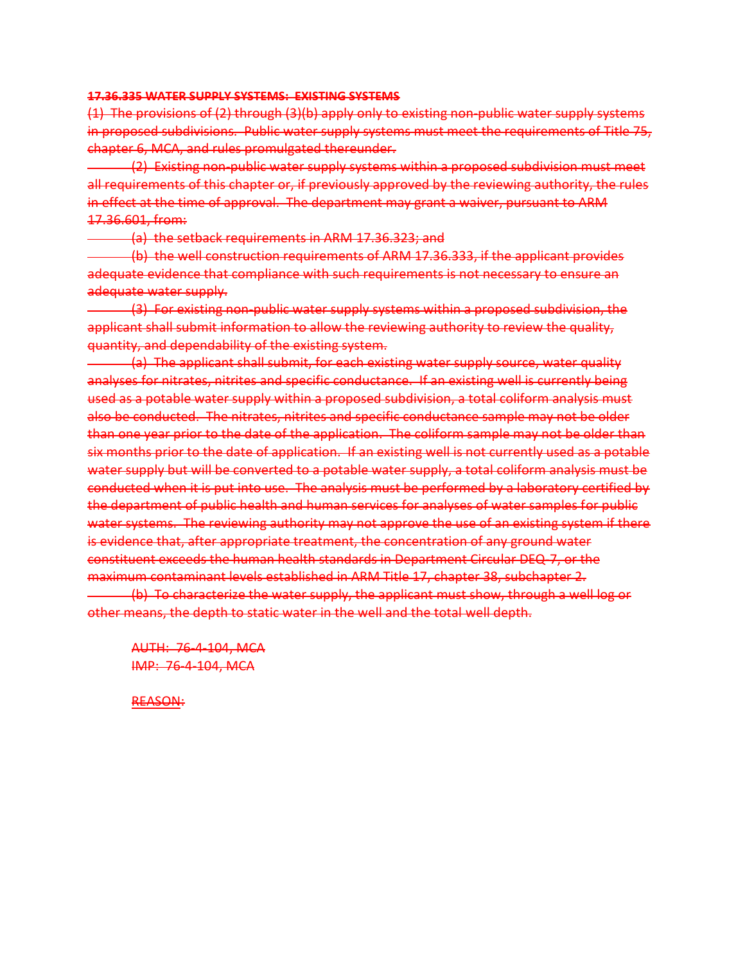#### **17.36.335 WATER SUPPLY SYSTEMS: EXISTING SYSTEMS**

(1) The provisions of (2) through (3)(b) apply only to existing non-public water supply systems in proposed subdivisions. Public water supply systems must meet the requirements of Title 75, chapter 6, MCA, and rules promulgated thereunder.

(2) Existing non-public water supply systems within a proposed subdivision must meet all requirements of this chapter or, if previously approved by the reviewing authority, the rules in effect at the time of approval. The department may grant a waiver, pursuant to ARM 17.36.601, from:

(a) the setback requirements in ARM 17.36.323; and

(b) the well construction requirements of ARM 17.36.333, if the applicant provides adequate evidence that compliance with such requirements is not necessary to ensure an adequate water supply.

(3) For existing non-public water supply systems within a proposed subdivision, the applicant shall submit information to allow the reviewing authority to review the quality, quantity, and dependability of the existing system.

(a) The applicant shall submit, for each existing water supply source, water quality analyses for nitrates, nitrites and specific conductance. If an existing well is currently being used as a potable water supply within a proposed subdivision, a total coliform analysis must also be conducted. The nitrates, nitrites and specific conductance sample may not be older than one year prior to the date of the application. The coliform sample may not be older than six months prior to the date of application. If an existing well is not currently used as a potable water supply but will be converted to a potable water supply, a total coliform analysis must be conducted when it is put into use. The analysis must be performed by a laboratory certified by the department of public health and human services for analyses of water samples for public water systems. The reviewing authority may not approve the use of an existing system if there is evidence that, after appropriate treatment, the concentration of any ground water constituent exceeds the human health standards in Department Circular DEQ-7, or the maximum contaminant levels established in ARM Title 17, chapter 38, subchapter 2.

(b) To characterize the water supply, the applicant must show, through a well log or other means, the depth to static water in the well and the total well depth.

AUTH: 76-4-104, MCA IMP: 76-4-104, MCA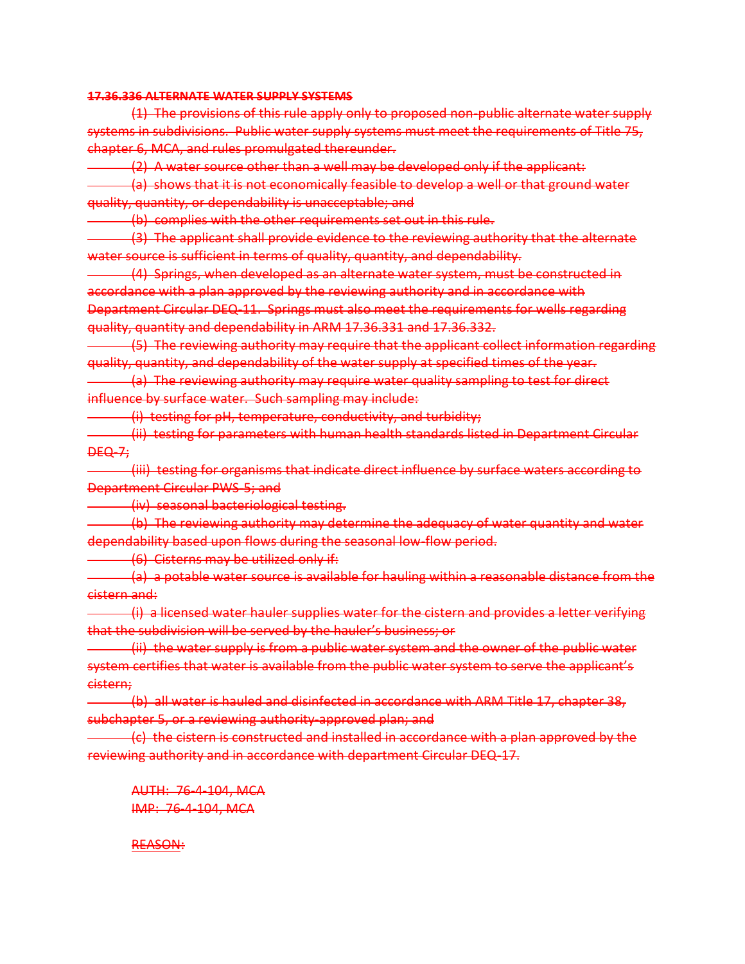### **17.36.336 ALTERNATE WATER SUPPLY SYSTEMS**

(1) The provisions of this rule apply only to proposed non-public alternate water supply systems in subdivisions. Public water supply systems must meet the requirements of Title 75, chapter 6, MCA, and rules promulgated thereunder.

(2) A water source other than a well may be developed only if the applicant:

(a) shows that it is not economically feasible to develop a well or that ground water quality, quantity, or dependability is unacceptable; and

(b) complies with the other requirements set out in this rule.

(3) The applicant shall provide evidence to the reviewing authority that the alternate water source is sufficient in terms of quality, quantity, and dependability.

(4) Springs, when developed as an alternate water system, must be constructed in accordance with a plan approved by the reviewing authority and in accordance with Department Circular DEQ-11. Springs must also meet the requirements for wells regarding quality, quantity and dependability in ARM 17.36.331 and 17.36.332.

(5) The reviewing authority may require that the applicant collect information regarding quality, quantity, and dependability of the water supply at specified times of the year.

(a) The reviewing authority may require water quality sampling to test for direct influence by surface water. Such sampling may include:

(i) testing for pH, temperature, conductivity, and turbidity;

(ii) testing for parameters with human health standards listed in Department Circular DEQ-7;

(iii) testing for organisms that indicate direct influence by surface waters according to Department Circular PWS-5; and

(iv) seasonal bacteriological testing.

(b) The reviewing authority may determine the adequacy of water quantity and water dependability based upon flows during the seasonal low-flow period.

(6) Cisterns may be utilized only if:

(a) a potable water source is available for hauling within a reasonable distance from the cistern and:

(i) a licensed water hauler supplies water for the cistern and provides a letter verifying that the subdivision will be served by the hauler's business; or

(ii) the water supply is from a public water system and the owner of the public water system certifies that water is available from the public water system to serve the applicant's cistern;

(b) all water is hauled and disinfected in accordance with ARM Title 17, chapter 38, subchapter 5, or a reviewing authority-approved plan; and

(c) the cistern is constructed and installed in accordance with a plan approved by the reviewing authority and in accordance with department Circular DEQ-17.

AUTH: 76-4-104, MCA IMP: 76-4-104, MCA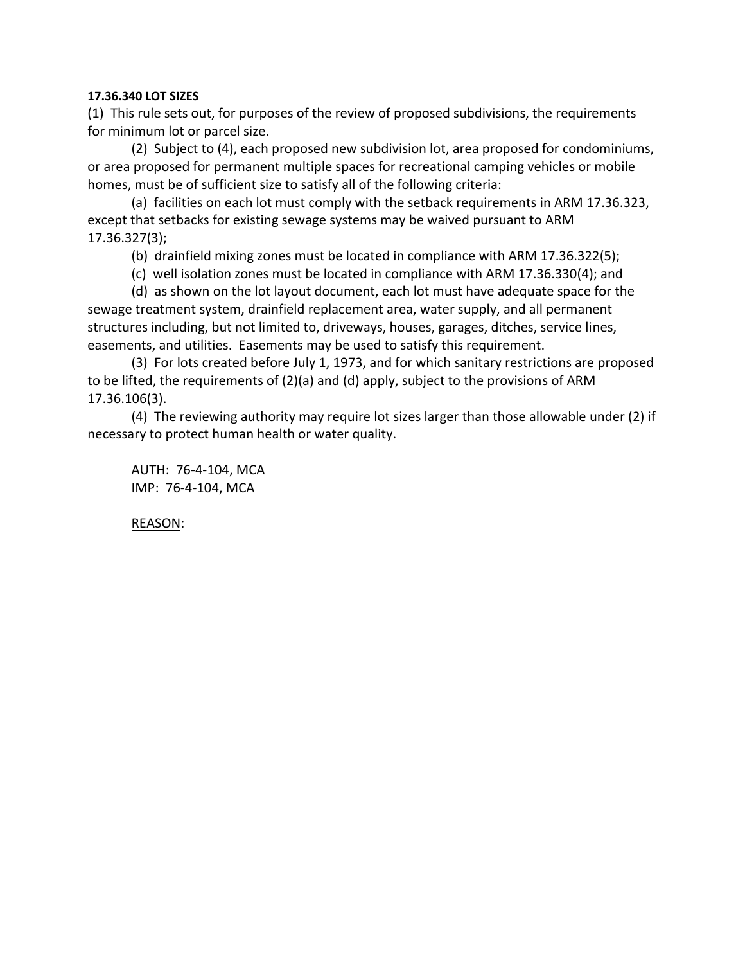# **17.36.340 LOT SIZES**

(1) This rule sets out, for purposes of the review of proposed subdivisions, the requirements for minimum lot or parcel size.

(2) Subject to (4), each proposed new subdivision lot, area proposed for condominiums, or area proposed for permanent multiple spaces for recreational camping vehicles or mobile homes, must be of sufficient size to satisfy all of the following criteria:

(a) facilities on each lot must comply with the setback requirements in ARM 17.36.323, except that setbacks for existing sewage systems may be waived pursuant to ARM 17.36.327(3);

(b) drainfield mixing zones must be located in compliance with ARM 17.36.322(5);

(c) well isolation zones must be located in compliance with ARM 17.36.330(4); and

(d) as shown on the lot layout document, each lot must have adequate space for the sewage treatment system, drainfield replacement area, water supply, and all permanent structures including, but not limited to, driveways, houses, garages, ditches, service lines, easements, and utilities. Easements may be used to satisfy this requirement.

(3) For lots created before July 1, 1973, and for which sanitary restrictions are proposed to be lifted, the requirements of (2)(a) and (d) apply, subject to the provisions of ARM 17.36.106(3).

(4) The reviewing authority may require lot sizes larger than those allowable under (2) if necessary to protect human health or water quality.

AUTH: 76-4-104, MCA IMP: 76-4-104, MCA